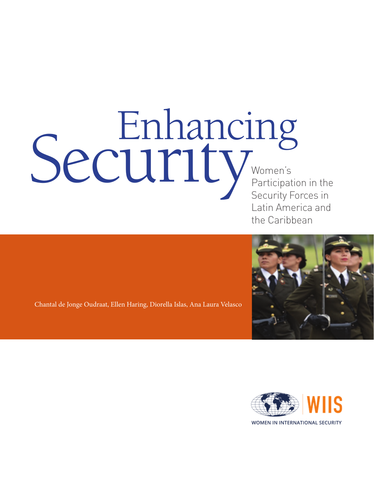# Women's Security Normeris

Participation in the Security Forces in Latin America and the Caribbean





Chantal de Jonge Oudraat, Ellen Haring, Diorella Islas, Ana Laura Velasco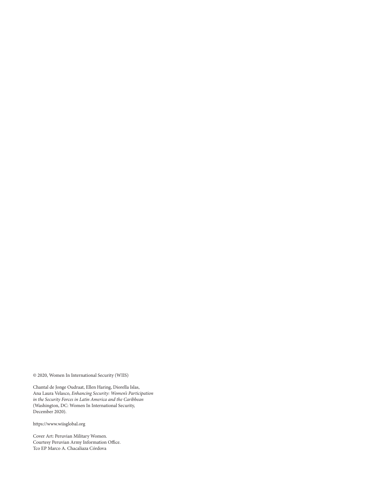© 2020, Women In International Security (WIIS)

Chantal de Jonge Oudraat, Ellen Haring, Diorella Islas, Ana Laura Velasco, *Enhancing Security: Women's Participation in the Security Forces in Latin America and the Caribbean*  (Washington, DC: Women In International Security, December 2020).

https://www.wiisglobal.org

Cover Art: Peruvian Military Women. Courtesy Peruvian Army Information Office. Tco EP Marco A. Chacaliaza Córdova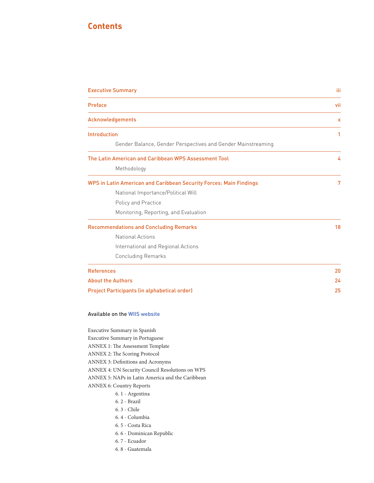# **Contents**

| <b>Executive Summary</b>                                           | iii |
|--------------------------------------------------------------------|-----|
| Preface                                                            | vii |
| Acknowledgements                                                   | x   |
| Introduction                                                       | 1   |
| Gender Balance, Gender Perspectives and Gender Mainstreaming       |     |
| The Latin American and Caribbean WPS Assessment Tool               | 4   |
| Methodology                                                        |     |
| WPS in Latin American and Caribbean Security Forces: Main Findings | 7   |
| National Importance/Political Will                                 |     |
| Policy and Practice                                                |     |
| Monitoring, Reporting, and Evaluation                              |     |
| <b>Recommendations and Concluding Remarks</b>                      | 18  |
| National Actions                                                   |     |
| International and Regional Actions                                 |     |
| <b>Concluding Remarks</b>                                          |     |
| <b>References</b>                                                  | 20  |
| <b>About the Authors</b>                                           | 24  |
| Project Participants (in alphabetical order)                       | 25  |

#### Available on the [WIIS website](https://www.wiisglobal.org/programs/enhancing-security-lac/)

Executive Summary in Spanish Executive Summary in Portuguese ANNEX 1: The Assessment Template ANNEX 2: The Scoring Protocol ANNEX 3: Definitions and Acronyms ANNEX 4: UN Security Council Resolutions on WPS ANNEX 5: NAPs in Latin America and the Caribbean ANNEX 6: Country Reports

- 6. 1 Argentina
- 6. 2 Brazil
- 6. 3 Chile
- 6. 4 Columbia
- 6. 5 Costa Rica
- 6. 6 Dominican Republic
- 6. 7 Ecuador
- 6. 8 Guatemala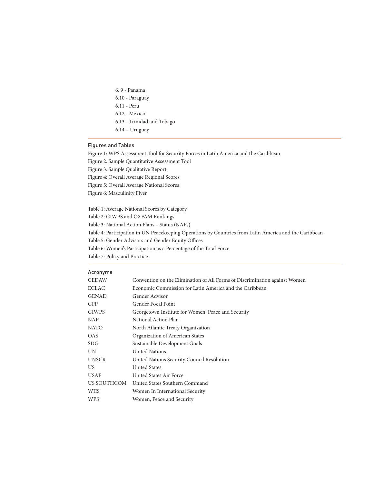6. 9 - Panama 6.10 - Paraguay 6.11 - Peru 6.12 - Mexico 6.13 - Trinidad and Tobago 6.14 – Uruguay

#### Figures and Tables

Figure 1: WPS Assessment Tool for Security Forces in Latin America and the Caribbean

Figure 2: Sample Quantitative Assessment Tool

Figure 3: Sample Qualitative Report

Figure 4: Overall Average Regional Scores

Figure 5: Overall Average National Scores

Figure 6: Masculinity Flyer

Table 1: Average National Scores by Category Table 2: GIWPS and OXFAM Rankings Table 3: National Action Plans – Status (NAPs) Table 4: Participation in UN Peacekeeping Operations by Countries from Latin America and the Caribbean Table 5: Gender Advisors and Gender Equity Offices Table 6: Women's Participation as a Percentage of the Total Force Table 7: Policy and Practice

#### Acronyms

| <b>CEDAW</b> | Convention on the Elimination of All Forms of Discrimination against Women |
|--------------|----------------------------------------------------------------------------|
| <b>ECLAC</b> | Economic Commission for Latin America and the Caribbean                    |
| <b>GENAD</b> | Gender Advisor                                                             |
| GFP          | Gender Focal Point                                                         |
| <b>GIWPS</b> | Georgetown Institute for Women, Peace and Security                         |
| <b>NAP</b>   | National Action Plan                                                       |
| <b>NATO</b>  | North Atlantic Treaty Organization                                         |
| <b>OAS</b>   | Organization of American States                                            |
| <b>SDG</b>   | Sustainable Development Goals                                              |
| <b>UN</b>    | <b>United Nations</b>                                                      |
| <b>UNSCR</b> | United Nations Security Council Resolution                                 |
| US.          | <b>United States</b>                                                       |
| <b>USAF</b>  | United States Air Force                                                    |
| US SOUTHCOM  | United States Southern Command                                             |
| WIIS         | Women In International Security                                            |
| WPS          | Women, Peace and Security                                                  |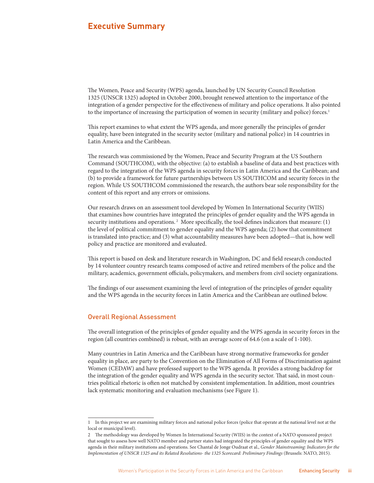# <span id="page-4-0"></span>**Executive Summary**

The Women, Peace and Security (WPS) agenda, launched by UN Security Council Resolution 1325 (UNSCR 1325) adopted in October 2000, brought renewed attention to the importance of the integration of a gender perspective for the effectiveness of military and police operations. It also pointed to the importance of increasing the participation of women in security (military and police) forces.<sup>1</sup>

This report examines to what extent the WPS agenda, and more generally the principles of gender equality, have been integrated in the security sector (military and national police) in 14 countries in Latin America and the Caribbean.

The research was commissioned by the Women, Peace and Security Program at the US Southern Command (SOUTHCOM), with the objective: (a) to establish a baseline of data and best practices with regard to the integration of the WPS agenda in security forces in Latin America and the Caribbean; and (b) to provide a framework for future partnerships between US SOUTHCOM and security forces in the region. While US SOUTHCOM commissioned the research, the authors bear sole responsibility for the content of this report and any errors or omissions.

Our research draws on an assessment tool developed by Women In International Security (WIIS) that examines how countries have integrated the principles of gender equality and the WPS agenda in security institutions and operations.<sup>2</sup> More specifically, the tool defines indicators that measure: (1) the level of political commitment to gender equality and the WPS agenda; (2) how that commitment is translated into practice; and (3) what accountability measures have been adopted—that is, how well policy and practice are monitored and evaluated.

This report is based on desk and literature research in Washington, DC and field research conducted by 14 volunteer country research teams composed of active and retired members of the police and the military, academics, government officials, policymakers, and members from civil society organizations.

The findings of our assessment examining the level of integration of the principles of gender equality and the WPS agenda in the security forces in Latin America and the Caribbean are outlined below.

#### Overall Regional Assessment

The overall integration of the principles of gender equality and the WPS agenda in security forces in the region (all countries combined) is robust, with an average score of 64.6 (on a scale of 1-100).

Many countries in Latin America and the Caribbean have strong normative frameworks for gender equality in place, are party to the Convention on the Elimination of All Forms of Discrimination against Women (CEDAW) and have professed support to the WPS agenda. It provides a strong backdrop for the integration of the gender equality and WPS agenda in the security sector. That said, in most countries political rhetoric is often not matched by consistent implementation. In addition, most countries lack systematic monitoring and evaluation mechanisms (see Figure 1).

<sup>1</sup> In this project we are examining military forces and national police forces (police that operate at the national level not at the local or municipal level).

<sup>2</sup> The methodology was developed by Women In International Security (WIIS) in the context of a NATO sponsored project that sought to assess how well NATO member and partner states had integrated the principles of gender equality and the WPS agenda in their military institutions and operations. See Chantal de Jonge Oudraat et al., *Gender Mainstreaming: Indicators for the Implementation of UNSCR 1325 and its Related Resolutions- the 1325 Scorecard: Preliminary Findings* (Brussels: NATO, 2015).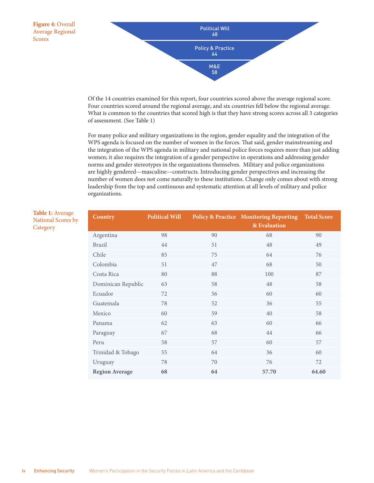Of the 14 countries examined for this report, four countries scored above the average regional score. Four countries scored around the regional average, and six countries fell below the regional average. What is common to the countries that scored high is that they have strong scores across all 3 categories of assessment. (See Table 1)

For many police and military organizations in the region, gender equality and the integration of the WPS agenda is focused on the number of women in the forces. That said, gender mainstreaming and the integration of the WPS agenda in military and national police forces requires more than just adding women; it also requires the integration of a gender perspective in operations and addressing gender norms and gender stereotypes in the organizations themselves. Military and police organizations are highly gendered—masculine—constructs. Introducing gender perspectives and increasing the number of women does not come naturally to these institutions. Change only comes about with strong leadership from the top and continuous and systematic attention at all levels of military and police organizations.

| <b>Country</b>        | <b>Political Will</b> |    | <b>Policy &amp; Practice Monitoring Reporting Total Score</b><br>& Evaluation |       |
|-----------------------|-----------------------|----|-------------------------------------------------------------------------------|-------|
| Argentina             | 98                    | 90 | 68                                                                            | 90    |
| <b>Brazil</b>         | 44                    | 51 | 48                                                                            | 49    |
| Chile                 | 85                    | 75 | 64                                                                            | 76    |
| Colombia              | 51                    | 47 | 68                                                                            | 50    |
| Costa Rica            | 80                    | 88 | 100                                                                           | 87    |
| Dominican Republic    | 63                    | 58 | 48                                                                            | 58    |
| Ecuador               | 72                    | 56 | 60                                                                            | 60    |
| Guatemala             | 78                    | 52 | 36                                                                            | 55    |
| Mexico                | 60                    | 59 | 40                                                                            | 58    |
| Panama                | 62                    | 63 | 60                                                                            | 66    |
| Paraguay              | 67                    | 68 | 44                                                                            | 66    |
| Peru                  | 58                    | 57 | 60                                                                            | 57    |
| Trinidad & Tobago     | 55                    | 64 | 36                                                                            | 60    |
| Uruguay               | 78                    | 70 | 76                                                                            | 72    |
| <b>Region Average</b> | 68                    | 64 | 57.70                                                                         | 64.60 |

#### **Table 1:** Average National Scores by **Category**

Scores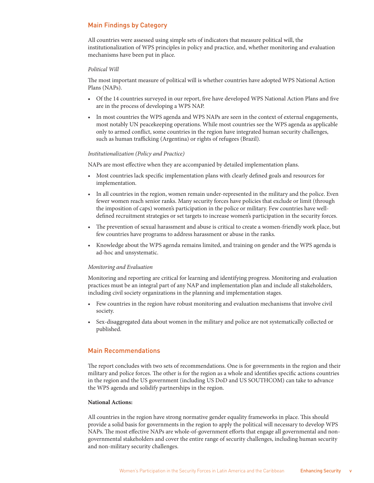### Main Findings by Category

All countries were assessed using simple sets of indicators that measure political will, the institutionalization of WPS principles in policy and practice, and, whether monitoring and evaluation mechanisms have been put in place.

#### *Political Will*

The most important measure of political will is whether countries have adopted WPS National Action Plans (NAPs).

- Of the 14 countries surveyed in our report, five have developed WPS National Action Plans and five are in the process of developing a WPS NAP.
- In most countries the WPS agenda and WPS NAPs are seen in the context of external engagements, most notably UN peacekeeping operations. While most countries see the WPS agenda as applicable only to armed conflict, some countries in the region have integrated human security challenges, such as human trafficking (Argentina) or rights of refugees (Brazil).

#### *Institutionalization (Policy and Practice)*

NAPs are most effective when they are accompanied by detailed implementation plans.

- Most countries lack specific implementation plans with clearly defined goals and resources for implementation.
- In all countries in the region, women remain under-represented in the military and the police. Even fewer women reach senior ranks. Many security forces have policies that exclude or limit (through the imposition of caps) women's participation in the police or military. Few countries have welldefined recruitment strategies or set targets to increase women's participation in the security forces.
- The prevention of sexual harassment and abuse is critical to create a women-friendly work place, but few countries have programs to address harassment or abuse in the ranks.
- Knowledge about the WPS agenda remains limited, and training on gender and the WPS agenda is ad-hoc and unsystematic.

#### *Monitoring and Evaluation*

Monitoring and reporting are critical for learning and identifying progress. Monitoring and evaluation practices must be an integral part of any NAP and implementation plan and include all stakeholders, including civil society organizations in the planning and implementation stages.

- Few countries in the region have robust monitoring and evaluation mechanisms that involve civil society.
- Sex-disaggregated data about women in the military and police are not systematically collected or published.

#### Main Recommendations

The report concludes with two sets of recommendations. One is for governments in the region and their military and police forces. The other is for the region as a whole and identifies specific actions countries in the region and the US government (including US DoD and US SOUTHCOM) can take to advance the WPS agenda and solidify partnerships in the region.

#### **National Actions:**

All countries in the region have strong normative gender equality frameworks in place. This should provide a solid basis for governments in the region to apply the political will necessary to develop WPS NAPs. The most effective NAPs are whole-of-government efforts that engage all governmental and nongovernmental stakeholders and cover the entire range of security challenges, including human security and non-military security challenges.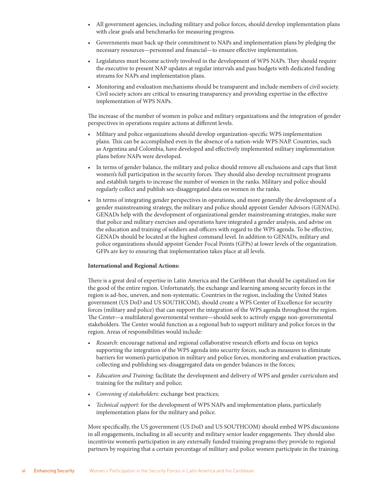- All government agencies, including military and police forces, should develop implementation plans with clear goals and benchmarks for measuring progress.
- Governments must back up their commitment to NAPs and implementation plans by pledging the necessary resources—personnel and financial—to ensure effective implementation.
- Legislatures must become actively involved in the development of WPS NAPs. They should require the executive to present NAP updates at regular intervals and pass budgets with dedicated funding streams for NAPs and implementation plans.
- Monitoring and evaluation mechanisms should be transparent and include members of civil society. Civil society actors are critical to ensuring transparency and providing expertise in the effective implementation of WPS NAPs.

The increase of the number of women in police and military organizations and the integration of gender perspectives in operations require actions at different levels.

- Military and police organizations should develop organization-specific WPS implementation plans. This can be accomplished even in the absence of a nation-wide WPS NAP. Countries, such as Argentina and Colombia, have developed and effectively implemented military implementation plans before NAPs were developed.
- In terms of gender balance, the military and police should remove all exclusions and caps that limit women's full participation in the security forces. They should also develop recruitment programs and establish targets to increase the number of women in the ranks. Military and police should regularly collect and publish sex-disaggregated data on women in the ranks.
- In terms of integrating gender perspectives in operations, and more generally the development of a gender mainstreaming strategy, the military and police should appoint Gender Advisors (GENADs). GENADs help with the development of organizational gender mainstreaming strategies, make sure that police and military exercises and operations have integrated a gender analysis, and advise on the education and training of soldiers and officers with regard to the WPS agenda. To be effective, GENADs should be located at the highest command level. In addition to GENADs, military and police organizations should appoint Gender Focal Points (GFPs) at lower levels of the organization. GFPs are key to ensuring that implementation takes place at all levels.

#### **International and Regional Actions:**

There is a great deal of expertise in Latin America and the Caribbean that should be capitalized on for the good of the entire region. Unfortunately, the exchange and learning among security forces in the region is ad-hoc, uneven, and non-systematic. Countries in the region, including the United States government (US DoD and US SOUTHCOM), should create a WPS Center of Excellence for security forces (military and police) that can support the integration of the WPS agenda throughout the region. The Center—a multilateral governmental venture—should seek to actively engage non-governmental stakeholders. The Center would function as a regional hub to support military and police forces in the region. Areas of responsibilities would include:

- *Research:* encourage national and regional collaborative research efforts and focus on topics supporting the integration of the WPS agenda into security forces, such as measures to eliminate barriers for women's participation in military and police forces, monitoring and evaluation practices, collecting and publishing sex-disaggregated data on gender balances in the forces;
- *Education and Training:* facilitate the development and delivery of WPS and gender curriculum and training for the military and police;
- *Convening of stakeholders:* exchange best practices;
- *Technical support:* for the development of WPS NAPs and implementation plans, particularly implementation plans for the military and police.

More specifically, the US government (US DoD and US SOUTHCOM) should embed WPS discussions in all engagements, including in all security and military senior leader engagements. They should also incentivize women's participation in any externally funded training programs they provide to regional partners by requiring that a certain percentage of military and police women participate in the training.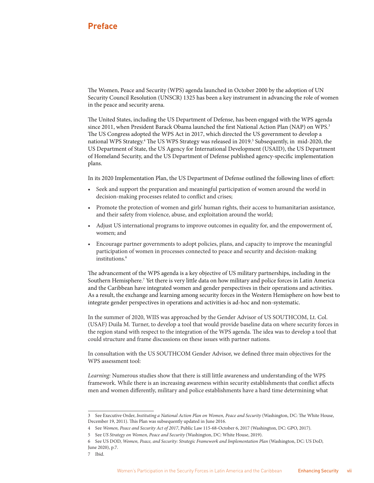# <span id="page-8-0"></span>**Preface**

The Women, Peace and Security (WPS) agenda launched in October 2000 by the adoption of UN Security Council Resolution (UNSCR) 1325 has been a key instrument in advancing the role of women in the peace and security arena.

The United States, including the US Department of Defense, has been engaged with the WPS agenda since 2011, when President Barack Obama launched the first National Action Plan (NAP) on WPS.<sup>3</sup> The US Congress adopted the WPS Act in 2017, which directed the US government to develop a national WPS Strategy.4 The US WPS Strategy was released in 2019.5 Subsequently, in mid-2020, the US Department of State, the US Agency for International Development (USAID), the US Department of Homeland Security, and the US Department of Defense published agency-specific implementation plans.

In its 2020 Implementation Plan, the US Department of Defense outlined the following lines of effort:

- Seek and support the preparation and meaningful participation of women around the world in decision-making processes related to conflict and crises;
- Promote the protection of women and girls' human rights, their access to humanitarian assistance, and their safety from violence, abuse, and exploitation around the world;
- Adjust US international programs to improve outcomes in equality for, and the empowerment of, women; and
- Encourage partner governments to adopt policies, plans, and capacity to improve the meaningful participation of women in processes connected to peace and security and decision-making institutions.<sup>6</sup>

The advancement of the WPS agenda is a key objective of US military partnerships, including in the Southern Hemisphere.7 Yet there is very little data on how military and police forces in Latin America and the Caribbean have integrated women and gender perspectives in their operations and activities. As a result, the exchange and learning among security forces in the Western Hemisphere on how best to integrate gender perspectives in operations and activities is ad-hoc and non-systematic.

In the summer of 2020, WIIS was approached by the Gender Advisor of US SOUTHCOM, Lt. Col. (USAF) Duila M. Turner, to develop a tool that would provide baseline data on where security forces in the region stand with respect to the integration of the WPS agenda. The idea was to develop a tool that could structure and frame discussions on these issues with partner nations.

In consultation with the US SOUTHCOM Gender Advisor, we defined three main objectives for the WPS assessment tool:

*Learning:* Numerous studies show that there is still little awareness and understanding of the WPS framework. While there is an increasing awareness within security establishments that conflict affects men and women differently, military and police establishments have a hard time determining what

<sup>3</sup> See Executive Order, *Instituting a National Action Plan on Women, Peace and Security* (Washington, DC: The White House, December 19, 2011). This Plan was subsequently updated in June 2016.

<sup>4</sup> See *Women, Peace and Security Act of 2017*, Public Law 115-68-October 6, 2017 (Washington, DC: GPO, 2017).

<sup>5</sup> See *US Strategy on Women, Peace and Security* (Washington, DC: White House, 2019).

<sup>6</sup> See US DOD, *Women, Peace, and Security: Strategic Framework and Implementation Plan* (Washington, DC: US DoD, June 2020), p.7.

<sup>7</sup> Ibid.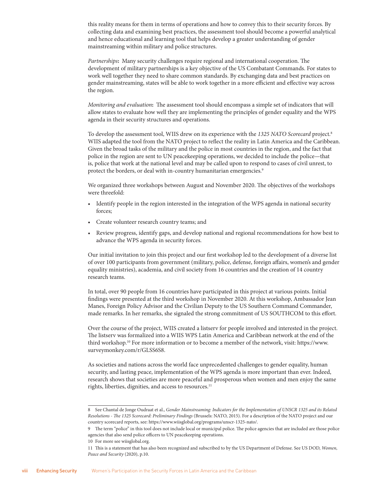this reality means for them in terms of operations and how to convey this to their security forces. By collecting data and examining best practices, the assessment tool should become a powerful analytical and hence educational and learning tool that helps develop a greater understanding of gender mainstreaming within military and police structures.

*Partnerships***:** Many security challenges require regional and international cooperation. The development of military partnerships is a key objective of the US Combatant Commands. For states to work well together they need to share common standards. By exchanging data and best practices on gender mainstreaming, states will be able to work together in a more efficient and effective way across the region.

*Monitoring and evaluation***:** The assessment tool should encompass a simple set of indicators that will allow states to evaluate how well they are implementing the principles of gender equality and the WPS agenda in their security structures and operations.

To develop the assessment tool, WIIS drew on its experience with the *1325 NATO Scorecard* project.8 WIIS adapted the tool from the NATO project to reflect the reality in Latin America and the Caribbean. Given the broad tasks of the military and the police in most countries in the region, and the fact that police in the region are sent to UN peacekeeping operations, we decided to include the police—that is, police that work at the national level and may be called upon to respond to cases of civil unrest, to protect the borders, or deal with in-country humanitarian emergencies.<sup>9</sup>

We organized three workshops between August and November 2020. The objectives of the workshops were threefold:

- Identify people in the region interested in the integration of the WPS agenda in national security forces;
- Create volunteer research country teams; and
- Review progress, identify gaps, and develop national and regional recommendations for how best to advance the WPS agenda in security forces.

Our initial invitation to join this project and our first workshop led to the development of a diverse list of over 100 participants from government (military, police, defense, foreign affairs, women's and gender equality ministries), academia, and civil society from 16 countries and the creation of 14 country research teams.

In total, over 90 people from 16 countries have participated in this project at various points. Initial findings were presented at the third workshop in November 2020. At this workshop, Ambassador Jean Manes, Foreign Policy Advisor and the Civilian Deputy to the US Southern Command Commander, made remarks. In her remarks, she signaled the strong commitment of US SOUTHCOM to this effort.

Over the course of the project, WIIS created a listserv for people involved and interested in the project. The listserv was formalized into a WIIS WPS Latin America and Caribbean network at the end of the third workshop.10 For more information or to become a member of the network, visit: https://www. surveymonkey.com/r/GLSS6S8.

As societies and nations across the world face unprecedented challenges to gender equality, human security, and lasting peace, implementation of the WPS agenda is more important than ever. Indeed, research shows that societies are more peaceful and prosperous when women and men enjoy the same rights, liberties, dignities, and access to resources.<sup>11</sup>

<sup>8</sup> See Chantal de Jonge Oudraat et al., *Gender Mainstreaming: Indicators for the Implementation of UNSCR 1325 and its Related Resolutions - The 1325 Scorecard: Preliminary Findings* (Brussels: NATO, 2015). For a description of the NATO project and our country scorecard reports, see: https://www.wiisglobal.org/programs/unscr-1325-nato/.

<sup>9</sup> The term "police" in this tool does not include local or municipal police. The police agencies that are included are those police agencies that also send police officers to UN peacekeeping operations.

<sup>10</sup> For more see wiisglobal.org.

<sup>11</sup> This is a statement that has also been recognized and subscribed to by the US Department of Defense. See US DOD, *Women, Peace and Security* (2020), p.10.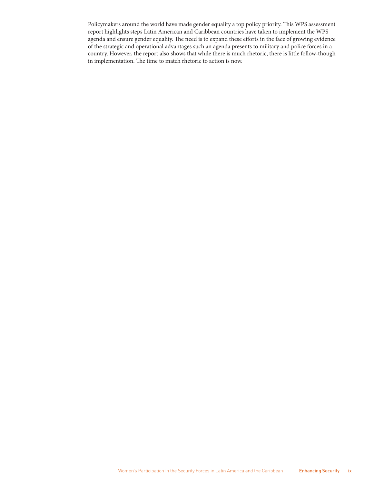Policymakers around the world have made gender equality a top policy priority. This WPS assessment report highlights steps Latin American and Caribbean countries have taken to implement the WPS agenda and ensure gender equality. The need is to expand these efforts in the face of growing evidence of the strategic and operational advantages such an agenda presents to military and police forces in a country. However, the report also shows that while there is much rhetoric, there is little follow-though in implementation. The time to match rhetoric to action is now.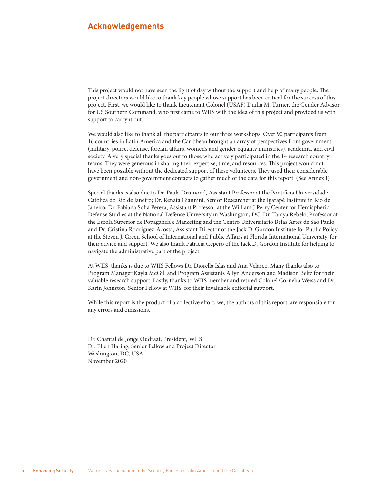# <span id="page-11-0"></span>**Acknowledgements**

This project would not have seen the light of day without the support and help of many people. The project directors would like to thank key people whose support has been critical for the success of this project. First, we would like to thank Lieutenant Colonel (USAF) Duilia M. Turner, the Gender Advisor for US Southern Command, who first came to WIIS with the idea of this project and provided us with support to carry it out.

We would also like to thank all the participants in our three workshops. Over 90 participants from 16 countries in Latin America and the Caribbean brought an array of perspectives from government (military, police, defense, foreign affairs, women's and gender equality ministries), academia, and civil society. A very special thanks goes out to those who actively participated in the 14 research country teams. They were generous in sharing their expertise, time, and resources. This project would not have been possible without the dedicated support of these volunteers. They used their considerable government and non-government contacts to gather much of the data for this report. (See Annex I)

Special thanks is also due to Dr. Paula Drumond, Assistant Professor at the Pontificia Universidade Catolica do Rio de Janeiro; Dr. Renata Giannini, Senior Researcher at the Igarapé Institute in Rio de Janeiro; Dr. Fabiana Sofia Perera, Assistant Professor at the William J Perry Center for Hemispheric Defense Studies at the National Defense University in Washington, DC; Dr. Tamya Rebelo, Professor at the Escola Superior de Popaganda e Marketing and the Centro Universitario Belas Artes de Sao Paulo, and Dr. Cristina Rodriguez-Acosta, Assistant Director of the Jack D. Gordon Institute for Public Policy at the Steven J. Green School of International and Public Affairs at Florida International University, for their advice and support. We also thank Patricia Cepero of the Jack D. Gordon Institute for helping to navigate the administrative part of the project.

At WIIS, thanks is due to WIIS Fellows Dr. Diorella Islas and Ana Velasco. Many thanks also to Program Manager Kayla McGill and Program Assistants Allyn Anderson and Madison Beltz for their valuable research support. Lastly, thanks to WIIS member and retired Colonel Cornelia Weiss and Dr. Karin Johnston, Senior Fellow at WIIS, for their invaluable editorial support.

While this report is the product of a collective effort, we, the authors of this report, are responsible for any errors and omissions.

Dr. Chantal de Jonge Oudraat, President, WIIS Dr. Ellen Haring, Senior Fellow and Project Director Washington, DC, USA November 2020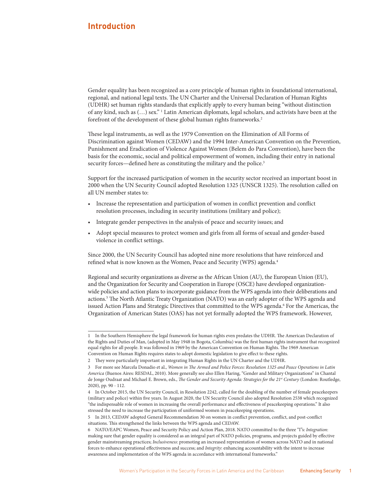# <span id="page-12-0"></span>**Introduction**

Gender equality has been recognized as a core principle of human rights in foundational international, regional, and national legal texts. The UN Charter and the Universal Declaration of Human Rights (UDHR) set human rights standards that explicitly apply to every human being "without distinction of any kind, such as (…) sex." 1 Latin American diplomats, legal scholars, and activists have been at the forefront of the development of these global human rights frameworks.<sup>2</sup>

These legal instruments, as well as the 1979 Convention on the Elimination of All Forms of Discrimination against Women (CEDAW) and the 1994 Inter-American Convention on the Prevention, Punishment and Eradication of Violence Against Women (Belem do Para Convention), have been the basis for the economic, social and political empowerment of women, including their entry in national security forces—defined here as constituting the military and the police.<sup>3</sup>

Support for the increased participation of women in the security sector received an important boost in 2000 when the UN Security Council adopted Resolution 1325 (UNSCR 1325). The resolution called on all UN member states to:

- Increase the representation and participation of women in conflict prevention and conflict resolution processes, including in security institutions (military and police);
- Integrate gender perspectives in the analysis of peace and security issues; and
- Adopt special measures to protect women and girls from all forms of sexual and gender-based violence in conflict settings.

Since 2000, the UN Security Council has adopted nine more resolutions that have reinforced and refined what is now known as the Women, Peace and Security (WPS) agenda.<sup>4</sup>

Regional and security organizations as diverse as the African Union (AU), the European Union (EU), and the Organization for Security and Cooperation in Europe (OSCE) have developed organizationwide policies and action plans to incorporate guidance from the WPS agenda into their deliberations and actions.5 The North Atlantic Treaty Organization (NATO) was an early adopter of the WPS agenda and issued Action Plans and Strategic Directives that committed to the WPS agenda.<sup>6</sup> For the Americas, the Organization of American States (OAS) has not yet formally adopted the WPS framework. However,

<sup>1</sup> In the Southern Hemisphere the legal framework for human rights even predates the UDHR. The American Declaration of the Rights and Duties of Man, (adopted in May 1948 in Bogota, Columbia) was the first human rights instrument that recognized equal rights for all people. It was followed in 1969 by the American Convention on Human Rights. The 1969 American Convention on Human Rights requires states to adopt domestic legislation to give effect to these rights.

<sup>2</sup> They were particularly important in integrating Human Rights in the UN Charter and the UDHR.

<sup>3</sup> For more see Marcela Donadio et al., *Women in The Armed and Police Forces: Resolution 1325 and Peace Operations in Latin America* (Buenos Aires: RESDAL, 2010). More generally see also Ellen Haring, "Gender and Military Organizations" in Chantal de Jonge Oudraat and Michael E. Brown, eds., *The Gender and Security Agenda: Strategies for the 21st Century* (London: Routledge, 2020), pp. 90 - 112.

<sup>4</sup> In October 2015, the UN Security Council, in Resolution 2242, called for the doubling of the number of female peacekeepers (military and police) within five years. In August 2020, the UN Security Council also adopted Resolution 2538 which recognized "the indispensable role of women in increasing the overall performance and effectiveness of peacekeeping operations." It also stressed the need to increase the participation of uniformed women in peacekeeping operations.

<sup>5</sup> In 2013, CEDAW adopted General Recommendation 30 on women in conflict prevention, conflict, and post-conflict situations. This strengthened the links between the WPS agenda and CEDAW.

<sup>6</sup> NATO/EAPC Women, Peace and Security Policy and Action Plan, 2018. NATO committed to the three "I"s: *Integration*: making sure that gender equality is considered as an integral part of NATO policies, programs, and projects guided by effective gender mainstreaming practices; *Inclusiveness*: promoting an increased representation of women across NATO and in national forces to enhance operational effectiveness and success; and *Integrity*: enhancing accountability with the intent to increase awareness and implementation of the WPS agenda in accordance with international frameworks."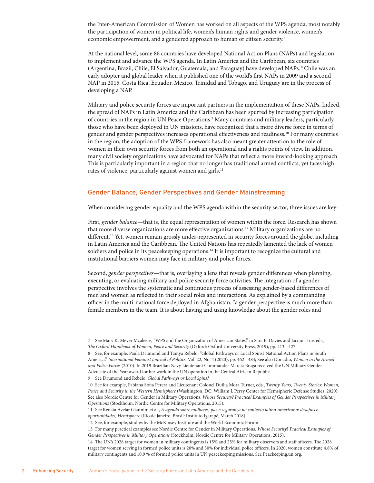the Inter-American Commission of Women has worked on all aspects of the WPS agenda, most notably the participation of women in political life, women's human rights and gender violence, women's economic empowerment, and a gendered approach to human or citizen security.<sup>7</sup>

At the national level, some 86 countries have developed National Action Plans (NAPs) and legislation to implement and advance the WPS agenda. In Latin America and the Caribbean, six countries (Argentina, Brazil, Chile, El Salvador, Guatemala, and Paraguay) have developed NAPs. 8 Chile was an early adopter and global leader when it published one of the world's first NAPs in 2009 and a second NAP in 2015. Costa Rica, Ecuador, Mexico, Trinidad and Tobago, and Uruguay are in the process of developing a NAP.

Military and police security forces are important partners in the implementation of these NAPs. Indeed, the spread of NAPs in Latin America and the Caribbean has been spurred by increasing participation of countries in the region in UN Peace Operations.<sup>9</sup> Many countries and military leaders, particularly those who have been deployed in UN missions, have recognized that a more diverse force in terms of gender and gender perspectives increases operational effectiveness and readiness.10 For many countries in the region, the adoption of the WPS framework has also meant greater attention to the role of women in their own security forces from both an operational and a rights points of view. In addition, many civil society organizations have advocated for NAPs that reflect a more inward-looking approach. This is particularly important in a region that no longer has traditional armed conflicts, yet faces high rates of violence, particularly against women and girls.<sup>11</sup>

#### Gender Balance, Gender Perspectives and Gender Mainstreaming

When considering gender equality and the WPS agenda within the security sector, three issues are key:

First, *gender balance*—that is, the equal representation of women within the force. Research has shown that more diverse organizations are more effective organizations.<sup>12</sup> Military organizations are no different.<sup>13</sup> Yet, women remain grossly under-represented in security forces around the globe, including in Latin America and the Caribbean. The United Nations has repeatedly lamented the lack of women soldiers and police in its peacekeeping operations.<sup>14</sup> It is important to recognize the cultural and institutional barriers women may face in military and police forces.

Second, *gender perspectives*—that is, overlaying a lens that reveals gender differences when planning, executing, or evaluating military and police security force activities. The integration of a gender perspective involves the systematic and continuous process of assessing gender-based differences of men and women as reflected in their social roles and interactions. As explained by a commanding officer in the multi-national force deployed in Afghanistan, "a gender perspective is much more than female members in the team. It is about having and using knowledge about the gender roles and

<sup>7</sup> See Mary K. Meyer Mcaleese, "WPS and the Organization of American States," in Sara E. Davies and Jacqui True, eds*., The Oxford Handbook of Women, Peace and Security* (Oxford: Oxford University Press, 2019), pp. 413 - 427.

<sup>8</sup> See, for example, Paula Drumond and Tamya Rebelo, "Global Pathways or Local Spins? National Action Plans in South America," *International Feminist Journal of Politics*, Vol. 22, No. 4 (2020), pp. 462 - 484; See also Donadio, *Women in the Armed and Police Forces* (2010). In 2019 Brazilian Navy Lieutenant Commander Marcia Braga received the UN Military Gender Advocate of the Year award for her work in the UN operation in the Central African Republic.

<sup>9</sup> See Drumond and Rebelo, *Global Pathways or Local Spins?*

<sup>10</sup> See for example, Fabiana Sofia Perera and Lieutenant Colonel Duilia Mora Turner, eds., *Twenty Years, Twenty Stories: Women, Peace and Security in the Western Hemisphere* (Washington, DC: William J. Perry Center for Hemsipheric Defense Studies, 2020). See also Nordic Centre for Gender in Military Operations, *Whose Security? Practical Examples of Gender Perspectives in Military Operations* (Stockholm: Nordic Centre for Military Operations, 2015).

<sup>11</sup> See Renata Avelar Giannini et al., *A agenda sobre mulheres, paz e segurança no contexto latino-americano: desafios e oportunidades, Hemisphere* (Rio de Janeiro, Brasil: Instituto Igarapé, March 2018).

<sup>12</sup> See, for example, studies by the McKinsey Institute and the World Economic Forum.

<sup>13</sup> For many practical examples see Nordic Centre for Gender in Military Operations, *Whose Security? Practical Examples of Gender Perspectives in Military Operations* (Stockholm: Nordic Centre for Military Operations, 2015).

<sup>14</sup> The UN's 2028 target for women in military contingents is 15% and 25% for military observers and staff officers. The 2028 target for women serving in formed police units is 20% and 30% for individual police officers. In 2020, women constitute 4.8% of military contingents and 10.9 % of formed police units in UN peacekeeping missions. See Peackeeping.un.org.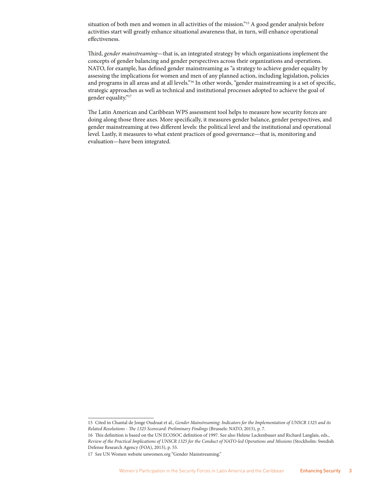situation of both men and women in all activities of the mission."15 A good gender analysis before activities start will greatly enhance situational awareness that, in turn, will enhance operational effectiveness.

Third, *gender mainstreaming*—that is, an integrated strategy by which organizations implement the concepts of gender balancing and gender perspectives across their organizations and operations. NATO, for example, has defined gender mainstreaming as "a strategy to achieve gender equality by assessing the implications for women and men of any planned action, including legislation, policies and programs in all areas and at all levels."<sup>16</sup> In other words, "gender mainstreaming is a set of specific, strategic approaches as well as technical and institutional processes adopted to achieve the goal of gender equality."17

The Latin American and Caribbean WPS assessment tool helps to measure how security forces are doing along those three axes. More specifically, it measures gender balance, gender perspectives, and gender mainstreaming at two different levels: the political level and the institutional and operational level. Lastly, it measures to what extent practices of good governance—that is, monitoring and evaluation—have been integrated.

<sup>15</sup> Cited in Chantal de Jonge Oudraat et al., *Gender Mainstreaming: Indicators for the Implementation of UNSCR 1325 and its Related Resolutions - The 1325 Scorecard: Preliminary Findings* (Brussels: NATO, 2015), p. 7.

<sup>16</sup> This definition is based on the UN ECOSOC definition of 1997. See also Helene Lackenbauer and Richard Langlais, eds., *Review of the Practical Implications of UNSCR 1325 for the Conduct of NATO-led Operations and Missions* (Stockholm: Swedish Defense Research Agency (FOA), 2013), p. 55.

<sup>17</sup> See UN Women website unwomen.org "Gender Mainstreaming."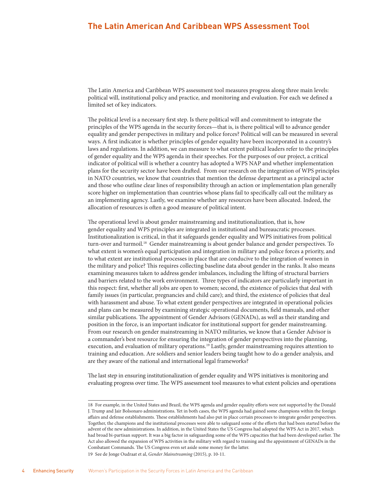<span id="page-15-0"></span>The Latin America and Caribbean WPS assessment tool measures progress along three main levels: political will, institutional policy and practice, and monitoring and evaluation. For each we defined a limited set of key indicators.

The political level is a necessary first step. Is there political will and commitment to integrate the principles of the WPS agenda in the security forces—that is, is there political will to advance gender equality and gender perspectives in military and police forces? Political will can be measured in several ways. A first indicator is whether principles of gender equality have been incorporated in a country's laws and regulations. In addition, we can measure to what extent political leaders refer to the principles of gender equality and the WPS agenda in their speeches. For the purposes of our project, a critical indicator of political will is whether a country has adopted a WPS NAP and whether implementation plans for the security sector have been drafted. From our research on the integration of WPS principles in NATO countries, we know that countries that mention the defense department as a principal actor and those who outline clear lines of responsibility through an action or implementation plan generally score higher on implementation than countries whose plans fail to specifically call out the military as an implementing agency. Lastly, we examine whether any resources have been allocated. Indeed, the allocation of resources is often a good measure of political intent.

The operational level is about gender mainstreaming and institutionalization, that is, how gender equality and WPS principles are integrated in institutional and bureaucratic processes. Institutionalization is critical, in that it safeguards gender equality and WPS initiatives from political turn-over and turmoil.<sup>18</sup> Gender mainstreaming is about gender balance and gender perspectives. To what extent is women's equal participation and integration in military and police forces a priority, and to what extent are institutional processes in place that are conducive to the integration of women in the military and police? This requires collecting baseline data about gender in the ranks. It also means examining measures taken to address gender imbalances, including the lifting of structural barriers and barriers related to the work environment. Three types of indicators are particularly important in this respect: first, whether all jobs are open to women; second, the existence of policies that deal with family issues (in particular, pregnancies and child care); and third, the existence of policies that deal with harassment and abuse. To what extent gender perspectives are integrated in operational policies and plans can be measured by examining strategic operational documents, field manuals, and other similar publications. The appointment of Gender Advisors (GENADs), as well as their standing and position in the force, is an important indicator for institutional support for gender mainstreaming. From our research on gender mainstreaming in NATO militaries, we know that a Gender Advisor is a commander's best resource for ensuring the integration of gender perspectives into the planning, execution, and evaluation of military operations.19 Lastly, gender mainstreaming requires attention to training and education. Are soldiers and senior leaders being taught how to do a gender analysis, and are they aware of the national and international legal frameworks?

The last step in ensuring institutionalization of gender equality and WPS initiatives is monitoring and evaluating progress over time. The WPS assessment tool measures to what extent policies and operations

<sup>18</sup> For example, in the United States and Brazil, the WPS agenda and gender equality efforts were not supported by the Donald J. Trump and Jair Bolsonaro administrations. Yet in both cases, the WPS agenda had gained some champions within the foreign affairs and defense establishments. These establishments had also put in place certain processes to integrate gender perspectives. Together, the champions and the institutional processes were able to safeguard some of the efforts that had been started before the advent of the new administrations. In addition, in the United States the US Congress had adopted the WPS Act in 2017, which had broad bi-partisan support. It was a big factor in safeguarding some of the WPS capacities that had been developed earlier. The Act also allowed the expansion of WPS activities in the military with regard to training and the appointment of GENADs in the Combatant Commands. The US Congress even set aside some money for the latter. 19 See de Jonge Oudraat et al, *Gender Mainstreaming* (2015), p. 10-11.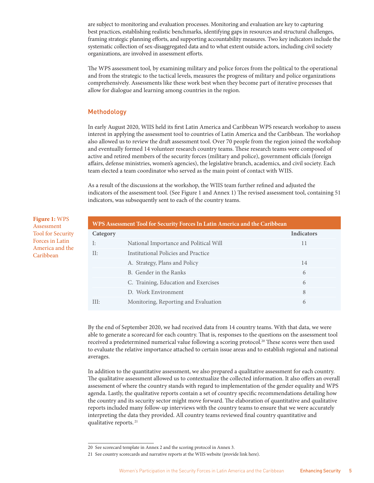are subject to monitoring and evaluation processes. Monitoring and evaluation are key to capturing best practices, establishing realistic benchmarks, identifying gaps in resources and structural challenges, framing strategic planning efforts, and supporting accountability measures. Two key indicators include the systematic collection of sex-disaggregated data and to what extent outside actors, including civil society organizations, are involved in assessment efforts.

The WPS assessment tool, by examining military and police forces from the political to the operational and from the strategic to the tactical levels, measures the progress of military and police organizations comprehensively. Assessments like these work best when they become part of iterative processes that allow for dialogue and learning among countries in the region.

#### Methodology

In early August 2020, WIIS held its first Latin America and Caribbean WPS research workshop to assess interest in applying the assessment tool to countries of Latin America and the Caribbean. The workshop also allowed us to review the draft assessment tool. Over 70 people from the region joined the workshop and eventually formed 14 volunteer research country teams. These research teams were composed of active and retired members of the security forces (military and police), government officials (foreign affairs, defense ministries, women's agencies), the legislative branch, academics, and civil society. Each team elected a team coordinator who served as the main point of contact with WIIS.

As a result of the discussions at the workshop, the WIIS team further refined and adjusted the indicators of the assessment tool. (See Figure 1 and Annex 1) The revised assessment tool, containing 51 indicators, was subsequently sent to each of the country teams.

| WPS Assessment Tool for Security Forces In Latin America and the Caribbean |                                        |                   |  |  |  |  |  |
|----------------------------------------------------------------------------|----------------------------------------|-------------------|--|--|--|--|--|
| Category                                                                   |                                        | <b>Indicators</b> |  |  |  |  |  |
| I:                                                                         | National Importance and Political Will | 11                |  |  |  |  |  |
| $\Pi$ :                                                                    | Institutional Policies and Practice    |                   |  |  |  |  |  |
|                                                                            | A. Strategy, Plans and Policy          |                   |  |  |  |  |  |
|                                                                            | B. Gender in the Ranks                 | 6                 |  |  |  |  |  |
|                                                                            | C. Training, Education and Exercises   | 6                 |  |  |  |  |  |
|                                                                            | D. Work Environment                    | 8                 |  |  |  |  |  |
| III:                                                                       | Monitoring, Reporting and Evaluation   | 6                 |  |  |  |  |  |

By the end of September 2020, we had received data from 14 country teams. With that data, we were able to generate a scorecard for each country. That is, responses to the questions on the assessment tool received a predetermined numerical value following a scoring protocol.<sup>20</sup> These scores were then used to evaluate the relative importance attached to certain issue areas and to establish regional and national averages.

In addition to the quantitative assessment, we also prepared a qualitative assessment for each country. The qualitative assessment allowed us to contextualize the collected information. It also offers an overall assessment of where the country stands with regard to implementation of the gender equality and WPS agenda. Lastly, the qualitative reports contain a set of country specific recommendations detailing how the country and its security sector might move forward. The elaboration of quantitative and qualitative reports included many follow-up interviews with the country teams to ensure that we were accurately interpreting the data they provided. All country teams reviewed final country quantitative and qualitative reports. 21

**Figure 1:** WPS Assessment Tool for Security Forces in Latin America and the Caribbean

<sup>20</sup> See scorecard template in Annex 2 and the scoring protocol in Annex 3.

<sup>21</sup> See country scorecards and narrative reports at the WIIS website (provide link here).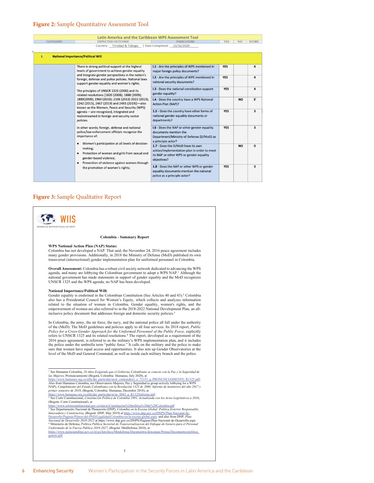#### **Figure 2:** Sample Quantitative Assessment Tool

|  | Latin America and the Caribbean WPS Assessment Tool                                                                                                                                                                             |                                                                                                                                                                                                                         |                                                                                                                                         |            |                |              |  |  |
|--|---------------------------------------------------------------------------------------------------------------------------------------------------------------------------------------------------------------------------------|-------------------------------------------------------------------------------------------------------------------------------------------------------------------------------------------------------------------------|-----------------------------------------------------------------------------------------------------------------------------------------|------------|----------------|--------------|--|--|
|  | <b>CATEGORY</b>                                                                                                                                                                                                                 | <b>EXPECTED OUTCOME</b><br><b>INDICATORS</b>                                                                                                                                                                            |                                                                                                                                         |            |                | <b>SCORE</b> |  |  |
|  |                                                                                                                                                                                                                                 | Country: Trinidad & Tobago                                                                                                                                                                                              | Date Completed: 10/16/2020                                                                                                              |            |                |              |  |  |
|  | τ.                                                                                                                                                                                                                              | <b>National Importance/Political Will</b>                                                                                                                                                                               |                                                                                                                                         |            |                |              |  |  |
|  |                                                                                                                                                                                                                                 | There is strong political support at the highest<br>levels of government to achieve gender equality<br>and integrate gender perspectives in the nation's                                                                | I.1 - Are the principles of WPS mentioned in<br>major foreign policy documents?                                                         | <b>YES</b> |                | 4            |  |  |
|  |                                                                                                                                                                                                                                 | foreign, defense and police policies. National laws<br>support gender equality and women's rights.<br>The principles of UNSCR 1325 (2000) and its<br>related resolutions [1820 (2008); 1888 (2009);                     | I.2 - Are the principles of WPS mentioned in<br>national security documents?                                                            | <b>YES</b> |                | 4            |  |  |
|  |                                                                                                                                                                                                                                 |                                                                                                                                                                                                                         | I.3 - Does the national constitution support<br>gender equality?                                                                        | <b>YES</b> |                | 4            |  |  |
|  | 1889(2009); 1960 (2010); 2106 (2013) 2022 (2013),<br>2242 (2015), 2467 (2019) and 2493 (2019)]-also<br>known as the Women, Peace and Security (WPS)                                                                             | I.4 - Does the country have a WPS National<br><b>Action Plan (NAP)?</b>                                                                                                                                                 |                                                                                                                                         | <b>NO</b>  | 3 <sup>i</sup> |              |  |  |
|  |                                                                                                                                                                                                                                 | agenda -are recognized, integrated and<br>mainstreamed in foreign and security sector<br>policies.<br>In other words; foreign, defense and national<br>police/law enforcement officials recognize the<br>importance of: | 1.5 - Does the country have other forms of<br>national gender equality documents or<br>departments?                                     | <b>YES</b> |                | 3            |  |  |
|  |                                                                                                                                                                                                                                 |                                                                                                                                                                                                                         | I.6 - Does the NAP or other gender equality<br>documents mention the<br>Department/Ministry of Defense (D/MoD) as<br>a principle actor? | <b>YES</b> |                | 3            |  |  |
|  | Women's participation at all levels of decision-<br>٠<br>making;<br>Protection of women and girls from sexual and<br>gender-based violence;<br>Prevention of violence against women through<br>the promotion of women's rights; | 1.7 - Does the D/MoD have its own<br>action/implementation plan in order to meet<br>its NAP or other WPS or gender equality<br>objectives?                                                                              |                                                                                                                                         | <b>NO</b>  | 0              |              |  |  |
|  |                                                                                                                                                                                                                                 | 1.8 - Does the NAP or other WPS or gender<br>equality documents mention the national<br>police as a principle actor?                                                                                                    | <b>YES</b>                                                                                                                              |            | 3              |              |  |  |

#### **Figure 3:** Sample Qualitative Report

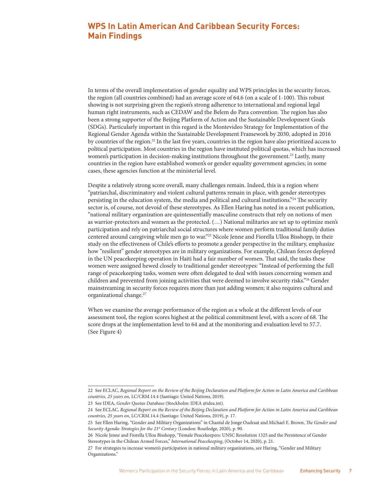# <span id="page-18-0"></span>**WPS In Latin American And Caribbean Security Forces: Main Findings**

In terms of the overall implementation of gender equality and WPS principles in the security forces, the region (all countries combined) had an average score of 64.6 (on a scale of 1-100). This robust showing is not surprising given the region's strong adherence to international and regional legal human right instruments, such as CEDAW and the Belem do Para convention. The region has also been a strong supporter of the Beijing Platform of Action and the Sustainable Development Goals (SDGs). Particularly important in this regard is the Montevideo Strategy for Implementation of the Regional Gender Agenda within the Sustainable Development Framework by 2030, adopted in 2016 by countries of the region.22 In the last five years, countries in the region have also prioritized access to political participation. Most countries in the region have instituted political quotas, which has increased women's participation in decision-making institutions throughout the government.<sup>23</sup> Lastly, many countries in the region have established women's or gender equality government agencies; in some cases, these agencies function at the ministerial level.

Despite a relatively strong score overall, many challenges remain. Indeed, this is a region where "patriarchal, discriminatory and violent cultural patterns remain in place, with gender stereotypes persisting in the education system, the media and political and cultural institutions."<sup>24</sup> The security sector is, of course, not devoid of these stereotypes. As Ellen Haring has noted in a recent publication, "national military organization are quintessentially masculine constructs that rely on notions of men as warrior-protectors and women as the protected. (…) National militaries are set up to optimize men's participation and rely on patriarchal social structures where women perform traditional family duties centered around caregiving while men go to war."25 Nicole Jenne and Fiorella Ulloa Bisshopp, in their study on the effectiveness of Chile's efforts to promote a gender perspective in the military, emphasize how "resilient" gender stereotypes are in military organizations. For example, Chilean forces deployed in the UN peacekeeping operation in Haiti had a fair number of women. That said, the tasks these women were assigned hewed closely to traditional gender stereotypes: "Instead of performing the full range of peacekeeping tasks, women were often delegated to deal with issues concerning women and children and prevented from joining activities that were deemed to involve security risks."<sup>26</sup> Gender mainstreaming in security forces requires more than just adding women; it also requires cultural and organizational change.27

When we examine the average performance of the region as a whole at the different levels of our assessment tool, the region scores highest at the political commitment level, with a score of 68. The score drops at the implementation level to 64 and at the monitoring and evaluation level to 57.7. (See Figure 4)

<sup>22</sup> See ECLAC, *Regional Report on the Review of the Beijing Declaration and Platform for Action in Latin America and Caribbean countries, 25 years on*, LC/CRM.14.4 (Santiago: United Nations, 2019).

<sup>23</sup> See IDEA, *Gender Quotas Database* (Stockholm: IDEA @idea.int).

<sup>24</sup> See ECLAC, *Regional Report on the Review of the Beijing Declaration and Platform for Action in Latin America and Caribbean countries, 25 years on*, LC/CRM.14.4 (Santiago: United Nations, 2019), p. 17.

<sup>25</sup> See Ellen Haring, "Gender and Military Organizations" in Chantal de Jonge Oudraat and Michael E. Brown, *The Gender and Security Agenda: Strategies for the 21st Century* (London: Routledge, 2020), p. 90.

<sup>26</sup> Nicole Jenne and Fiorella Ulloa Bisshopp, "Female Peacekeepers: UNSC Resolution 1325 and the Persistence of Gender Stereotypes in the Chilean Armed Forces," *International Peacekeeping*, (October 14, 2020), p. 21.

<sup>27</sup> For strategies to increase women's participation in national military organizations, see Haring, "Gender and Military Organizations."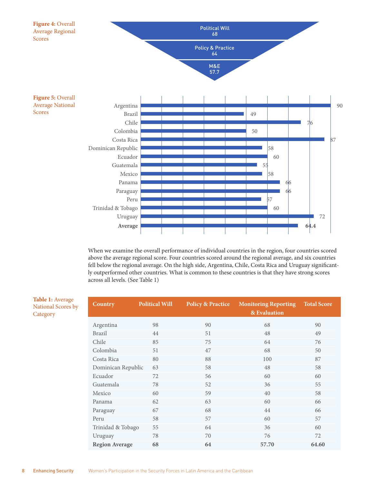

When we examine the overall performance of individual countries in the region, four countries scored above the average regional score. Four countries scored around the regional average, and six countries fell below the regional average. On the high side, Argentina, Chile, Costa Rica and Uruguay significantly outperformed other countries. What is common to these countries is that they have strong scores across all levels. (See Table 1)

| <b>Country</b>        | <b>Political Will</b> | <b>Policy &amp; Practice</b> | <b>Monitoring Reporting</b><br>& Evaluation | <b>Total Score</b> |
|-----------------------|-----------------------|------------------------------|---------------------------------------------|--------------------|
| Argentina             | 98                    | 90                           | 68                                          | 90                 |
| <b>Brazil</b>         | 44                    | 51                           | 48                                          | 49                 |
| Chile                 | 85                    | 75                           | 64                                          | 76                 |
| Colombia              | 51                    | 47                           | 68                                          | 50                 |
| Costa Rica            | 80                    | 88                           | 100                                         | 87                 |
| Dominican Republic    | 63                    | 58                           | 48                                          | 58                 |
| Ecuador               | 72                    | 56                           | 60                                          | 60                 |
| Guatemala             | 78                    | 52                           | 36                                          | 55                 |
| Mexico                | 60                    | 59                           | 40                                          | 58                 |
| Panama                | 62                    | 63                           | 60                                          | 66                 |
| Paraguay              | 67                    | 68                           | 44                                          | 66                 |
| Peru                  | 58                    | 57                           | 60                                          | 57                 |
| Trinidad & Tobago     | 55                    | 64                           | 36                                          | 60                 |
| Uruguay               | 78                    | 70                           | 76                                          | 72                 |
| <b>Region Average</b> | 68                    | 64                           | 57.70                                       | 64.60              |

**Table 1:** Average National Scores by  $\overline{C}$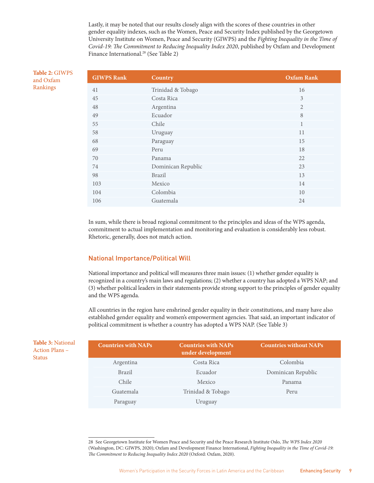Lastly, it may be noted that our results closely align with the scores of these countries in other gender equality indexes, such as the Women, Peace and Security Index published by the Georgetown University Institute on Women, Peace and Security (GIWPS) and the *Fighting Inequality in the Time of Covid-19: The Commitment to Reducing Inequality Index 2020*, published by Oxfam and Development Finance International.<sup>28</sup> (See Table 2)

#### **Table 2:** GIWPS and Oxfam Rankings

| <b>GIWPS Rank</b> | <b>Country</b>     | <b>Oxfam Rank</b> |
|-------------------|--------------------|-------------------|
| 41                | Trinidad & Tobago  | 16                |
| 45                | Costa Rica         | $\mathfrak{Z}$    |
| 48                | Argentina          | 2                 |
| 49                | Ecuador            | 8                 |
| 55                | Chile              | 1                 |
| 58                | Uruguay            | 11                |
| 68                | Paraguay           | 15                |
| 69                | Peru               | 18                |
| 70                | Panama             | 22                |
| 74                | Dominican Republic | 23                |
| 98                | <b>Brazil</b>      | 13                |
| 103               | Mexico             | 14                |
| 104               | Colombia           | 10                |
| 106               | Guatemala          | 24                |

In sum, while there is broad regional commitment to the principles and ideas of the WPS agenda, commitment to actual implementation and monitoring and evaluation is considerably less robust. Rhetoric, generally, does not match action.

#### National Importance/Political Will

National importance and political will measures three main issues: (1) whether gender equality is recognized in a country's main laws and regulations; (2) whether a country has adopted a WPS NAP; and (3) whether political leaders in their statements provide strong support to the principles of gender equality and the WPS agenda.

All countries in the region have enshrined gender equality in their constitutions, and many have also established gender equality and women's empowerment agencies. That said, an important indicator of political commitment is whether a country has adopted a WPS NAP. (See Table 3)

| <b>Countries with NAPs</b> | <b>Countries with NAPs</b><br>under development | <b>Countries without NAPs</b> |
|----------------------------|-------------------------------------------------|-------------------------------|
| Argentina                  | Costa Rica                                      | Colombia                      |
| <b>Brazil</b>              | Ecuador                                         | Dominican Republic            |
| Chile                      | Mexico                                          | Panama                        |
| Guatemala                  | Trinidad & Tobago                               | Peru                          |
| Paraguay                   | Uruguay                                         |                               |

28 See Georgetown Institute for Women Peace and Security and the Peace Research Institute Oslo, *The WPS Index 2020*  (Washington, DC: GIWPS, 2020); Oxfam and Development Finance International, *Fighting Inequality in the Time of Covid-19: The Commitment to Reducing Inequality Index 2020* (Oxford: Oxfam, 2020).

**Table 3:** National Action Plans – Status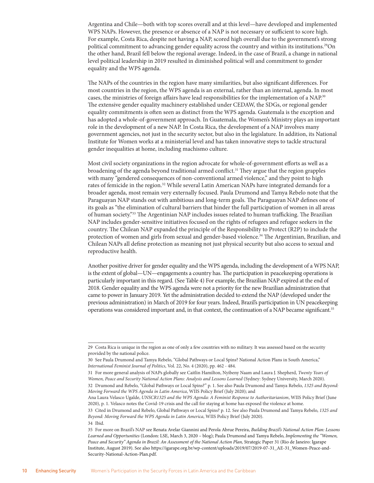Argentina and Chile—both with top scores overall and at this level—have developed and implemented WPS NAPs. However, the presence or absence of a NAP is not necessary or sufficient to score high. For example, Costa Rica, despite not having a NAP, scored high overall due to the government's strong political commitment to advancing gender equality across the country and within its institutions.29On the other hand, Brazil fell below the regional average. Indeed, in the case of Brazil, a change in national level political leadership in 2019 resulted in diminished political will and commitment to gender equality and the WPS agenda.

The NAPs of the countries in the region have many similarities, but also significant differences. For most countries in the region, the WPS agenda is an external, rather than an internal, agenda. In most cases, the ministries of foreign affairs have lead responsibilities for the implementation of a NAP.30 The extensive gender equality machinery established under CEDAW, the SDGs, or regional gender equality commitments is often seen as distinct from the WPS agenda. Guatemala is the exception and has adopted a whole-of-government approach. In Guatemala, the Women's Ministry plays an important role in the development of a new NAP. In Costa Rica, the development of a NAP involves many government agencies, not just in the security sector, but also in the legislature. In addition, its National Institute for Women works at a ministerial level and has taken innovative steps to tackle structural gender inequalities at home, including machismo culture.

Most civil society organizations in the region advocate for whole-of-government efforts as well as a broadening of the agenda beyond traditional armed conflict.<sup>31</sup> They argue that the region grapples with many "gendered consequences of non-conventional armed violence," and they point to high rates of femicide in the region.<sup>32</sup> While several Latin American NAPs have integrated demands for a broader agenda, most remain very externally focused. Paula Drumond and Tamya Rebelo note that the Paraguayan NAP stands out with ambitious and long-term goals. The Paraguayan NAP defines one of its goals as "the elimination of cultural barriers that hinder the full participation of women in all areas of human society."33 The Argentinian NAP includes issues related to human trafficking. The Brazilian NAP includes gender-sensitive initiatives focused on the rights of refugees and refugee seekers in the country. The Chilean NAP expanded the principle of the Responsibility to Protect (R2P) to include the protection of women and girls from sexual and gender-based violence.34 The Argentinian, Brazilian, and Chilean NAPs all define protection as meaning not just physical security but also access to sexual and reproductive health.

Another positive driver for gender equality and the WPS agenda, including the development of a WPS NAP, is the extent of global—UN—engagements a country has. The participation in peacekeeping operations is particularly important in this regard. (See Table 4) For example, the Brazilian NAP expired at the end of 2018. Gender equality and the WPS agenda were not a priority for the new Brazilian administration that came to power in January 2019. Yet the administration decided to extend the NAP (developed under the previous administration) in March of 2019 for four years. Indeed, Brazil's participation in UN peacekeeping operations was considered important and, in that context, the continuation of a NAP became significant.35

<sup>29</sup> Costa Rica is unique in the region as one of only a few countries with no military. It was assessed based on the security provided by the national police.

<sup>30</sup> See Paula Drumond and Tamya Rebelo, "Global Pathways or Local Spins? National Action Plans in South America," *International Feminist Journal of Politics*, Vol. 22, No. 4 (2020), pp. 462 - 484.

<sup>31</sup> For more general analysis of NAPs globally see Caitlin Hamilton, Nyibeny Naam and Laura J. Shepherd, *Twenty Years of Women, Peace and Security National Action Plans: Analysis and Lessons Learned* (Sydney: Sydney University, March 2020).

<sup>32</sup> Drumond and Rebelo, "Global Pathways or Local Spins?" p. 1. See also Paula Drumond and Tamya Rebelo, *1325 and Beyond: Moving Forward the WPS Agenda in Latin America*, WIIS Policy Brief (July 2020); and

Ana Laura Velasco Ugalde, *UNSCR1325 and the WPS Agenda: A Feminist Response to Authoritarianism*, WIIS Policy Brief (June 2020), p. 1. Velasco notes the Covid-19 crisis and the call for staying at home has exposed the violence at home.

<sup>33</sup> Cited in Drumond and Rebelo, Global Pathways or Local Spins? p. 12. See also Paula Drumond and Tamya Rebelo, *1325 and Beyond: Moving Forward the WPS Agenda in Latin America*, WIIS Policy Brief (July 2020). 34 Ibid.

<sup>35</sup> For more on Brazil's NAP see Renata Avelar Giannini and Perola Abrue Pereira, *Building Brazil's National Action Plan: Lessons Learned and Opportunities* (London: LSE, March 3, 2020 – blog); Paula Drumond and Tamya Rebelo, *Implementing the "Women, Peace and Security" Agenda in Brazil: An Assessment of the National Action Plan,* Strategic Paper 31 (Rio de Janeiro: Igarape Institute, August 2019). See also https://igarape.org.br/wp-content/uploads/2019/07/2019-07-31\_AE-31\_Women-Peace-and-Security-National-Action-Plan.pdf.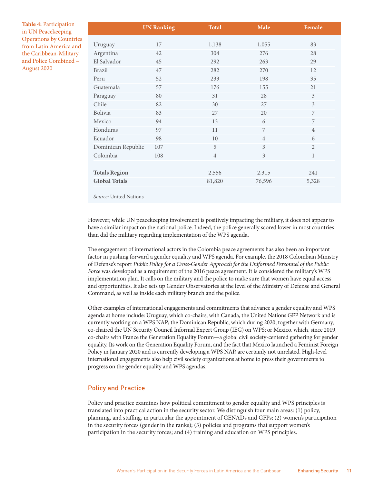**Table 4:** Participation in UN Peacekeeping Operations by Countries from Latin America and the Caribbean-Military and Police Combined – August 2020

|                      | <b>UN Ranking</b> | <b>Total</b>   | Male           | Female         |
|----------------------|-------------------|----------------|----------------|----------------|
|                      |                   |                |                |                |
| Uruguay              | 17                | 1,138          | 1,055          | 83             |
| Argentina            | 42                | 304            | 276            | 28             |
| El Salvador          | 45                | 292            | 263            | 29             |
| <b>Brazil</b>        | 47                | 282            | 270            | 12             |
| Peru                 | 52                | 233            | 198            | 35             |
| Guatemala            | 57                | 176            | 155            | 21             |
| Paraguay             | 80                | 31             | 28             | 3              |
| Chile                | 82                | 30             | 27             | 3              |
| Bolivia              | 83                | 27             | 20             | 7              |
| Mexico               | 94                | 13             | 6              | 7              |
| Honduras             | 97                | 11             | 7              | $\overline{4}$ |
| Ecuador              | 98                | 10             | $\overline{4}$ | 6              |
| Dominican Republic   | 107               | 5              | 3              | $\overline{2}$ |
| Colombia             | 108               | $\overline{4}$ | 3              | $\mathbf{1}$   |
|                      |                   |                |                |                |
| <b>Totals Region</b> |                   | 2,556          | 2,315          | 241            |
| <b>Global Totals</b> |                   | 81,820         | 76,596         | 5,328          |
|                      |                   |                |                |                |

*Source:* United Nations

However, while UN peacekeeping involvement is positively impacting the military, it does not appear to have a similar impact on the national police. Indeed, the police generally scored lower in most countries than did the military regarding implementation of the WPS agenda.

The engagement of international actors in the Colombia peace agreements has also been an important factor in pushing forward a gender equality and WPS agenda. For example, the 2018 Colombian Ministry of Defense's report *Public Policy for a Cross-Gender Approach for the Uniformed Personnel of the Public Force* was developed as a requirement of the 2016 peace agreement. It is considered the military's WPS implementation plan. It calls on the military and the police to make sure that women have equal access and opportunities. It also sets up Gender Observatories at the level of the Ministry of Defense and General Command, as well as inside each military branch and the police.

Other examples of international engagements and commitments that advance a gender equality and WPS agenda at home include: Uruguay, which co-chairs, with Canada, the United Nations GFP Network and is currently working on a WPS NAP; the Dominican Republic, which during 2020, together with Germany, co-chaired the UN Security Council Informal Expert Group (IEG) on WPS; or Mexico, which, since 2019, co-chairs with France the Generation Equality Forum—a global civil society-centered gathering for gender equality. Its work on the Generation Equality Forum, and the fact that Mexico launched a Feminist Foreign Policy in January 2020 and is currently developing a WPS NAP, are certainly not unrelated. High-level international engagements also help civil society organizations at home to press their governments to progress on the gender equality and WPS agendas.

#### Policy and Practice

Policy and practice examines how political commitment to gender equality and WPS principles is translated into practical action in the security sector. We distinguish four main areas: (1) policy, planning, and staffing, in particular the appointment of GENADs and GFPs; (2) women's participation in the security forces (gender in the ranks); (3) policies and programs that support women's participation in the security forces; and (4) training and education on WPS principles.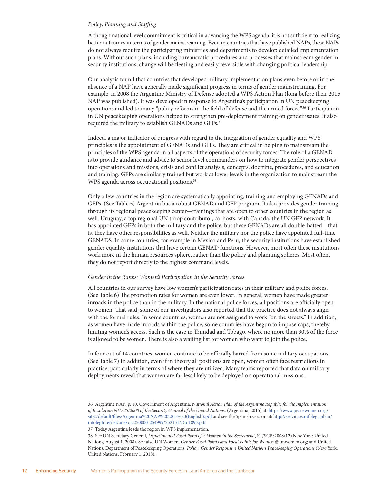#### *Policy, Planning and Staffing*

Although national level commitment is critical in advancing the WPS agenda, it is not sufficient to realizing better outcomes in terms of gender mainstreaming. Even in countries that have published NAPs, these NAPs do not always require the participating ministries and departments to develop detailed implementation plans. Without such plans, including bureaucratic procedures and processes that mainstream gender in security institutions, change will be fleeting and easily reversible with changing political leadership.

Our analysis found that countries that developed military implementation plans even before or in the absence of a NAP have generally made significant progress in terms of gender mainstreaming. For example, in 2008 the Argentine Ministry of Defense adopted a WPS Action Plan (long before their 2015 NAP was published). It was developed in response to Argentina's participation in UN peacekeeping operations and led to many "policy reforms in the field of defense and the armed forces."36 Participation in UN peacekeeping operations helped to strengthen pre-deployment training on gender issues. It also required the military to establish GENADs and GFPs.<sup>37</sup>

Indeed, a major indicator of progress with regard to the integration of gender equality and WPS principles is the appointment of GENADs and GFPs. They are critical in helping to mainstream the principles of the WPS agenda in all aspects of the operations of security forces. The role of a GENAD is to provide guidance and advice to senior level commanders on how to integrate gender perspectives into operations and missions, crisis and conflict analysis, concepts, doctrine, procedures, and education and training. GFPs are similarly trained but work at lower levels in the organization to mainstream the WPS agenda across occupational positions.<sup>38</sup>

Only a few countries in the region are systematically appointing, training and employing GENADs and GFPs. (See Table 5) Argentina has a robust GENAD and GFP program. It also provides gender training through its regional peacekeeping center—trainings that are open to other countries in the region as well. Uruguay, a top regional UN troop contributor, co-hosts, with Canada, the UN GFP network. It has appointed GFPs in both the military and the police, but these GENADs are all double-hatted—that is, they have other responsibilities as well. Neither the military nor the police have appointed full-time GENADS. In some countries, for example in Mexico and Peru, the security institutions have established gender equality institutions that have certain GENAD functions. However, most often these institutions work more in the human resources sphere, rather than the policy and planning spheres. Most often, they do not report directly to the highest command levels.

#### *Gender in the Ranks: Women's Participation in the Security Forces*

All countries in our survey have low women's participation rates in their military and police forces. (See Table 6) The promotion rates for women are even lower. In general, women have made greater inroads in the police than in the military. In the national police forces, all positions are officially open to women. That said, some of our investigators also reported that the practice does not always align with the formal rules. In some countries, women are not assigned to work "on the streets." In addition, as women have made inroads within the police, some countries have begun to impose caps, thereby limiting women's access. Such is the case in Trinidad and Tobago, where no more than 30% of the force is allowed to be women. There is also a waiting list for women who want to join the police.

In four out of 14 countries, women continue to be officially barred from some military occupations. (See Table 7) In addition, even if in theory all positions are open, women often face restrictions in practice, particularly in terms of where they are utilized. Many teams reported that data on military deployments reveal that women are far less likely to be deployed on operational missions.

<sup>36</sup> Argentine NAP: p. 10. Government of Argentina, N*ational Action Plan of the Argentine Republic for the Implementation of Resolution Nº1325/2000 of the Security Council of the United Nations*. (Argentina, 2015) at: [https://www.peacewomen.org/](https://www.peacewomen.org/sites/default/files/Argentina%20NAP%202015%20(English).pdf) [sites/default/files/Argentina%20NAP%202015%20\(English\).pdf](https://www.peacewomen.org/sites/default/files/Argentina%20NAP%202015%20(English).pdf) and see the Spanish version at: [http://servicios.infoleg.gob.ar/](http://servicios.infoleg.gob.ar/infolegInternet/anexos/250000-254999/252151/Dto1895.pdf) [infolegInternet/anexos/250000-254999/252151/Dto1895.pdf.](http://servicios.infoleg.gob.ar/infolegInternet/anexos/250000-254999/252151/Dto1895.pdf)

<sup>37</sup> Today Argentina leads the region in WPS implementation.

<sup>38</sup> See UN Secretary General, *Departmental Focal Points for Women in the Secretariat*, ST/SGB?2008/12 (New York: United Nations, August 1, 2008). See also UN Women, *Gender Focal Points and Focal Points for Women* @ unwomen.org; and United Nations, Department of Peacekeeping Operations*, Policy: Gender Responsive United Nations Peacekeeping Operations* (New York: United Nations, February 1, 2018).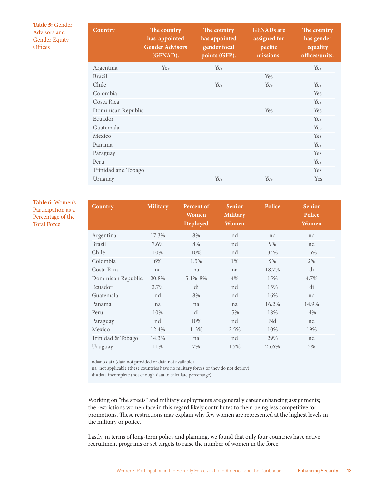#### **Table 5:** Gender Advisors and Gender Equity **Offices**

| <b>Country</b>      | The country<br>has appointed<br><b>Gender Advisors</b><br>(GENAD). | The country<br>has appointed<br>gender focal<br>points (GFP). | <b>GENADs</b> are<br>assigned for<br>pecific<br>missions. | The country<br>has gender<br>equality<br>offices/units. |
|---------------------|--------------------------------------------------------------------|---------------------------------------------------------------|-----------------------------------------------------------|---------------------------------------------------------|
| Argentina           | <b>Yes</b>                                                         | <b>Yes</b>                                                    |                                                           | <b>Yes</b>                                              |
| <b>Brazil</b>       |                                                                    |                                                               | Yes                                                       |                                                         |
| Chile               |                                                                    | Yes                                                           | Yes                                                       | Yes                                                     |
| Colombia            |                                                                    |                                                               |                                                           | Yes                                                     |
| Costa Rica          |                                                                    |                                                               |                                                           | Yes                                                     |
| Dominican Republic  |                                                                    |                                                               | <b>Yes</b>                                                | Yes                                                     |
| Ecuador             |                                                                    |                                                               |                                                           | Yes                                                     |
| Guatemala           |                                                                    |                                                               |                                                           | Yes                                                     |
| Mexico              |                                                                    |                                                               |                                                           | Yes                                                     |
| Panama              |                                                                    |                                                               |                                                           | Yes                                                     |
| Paraguay            |                                                                    |                                                               |                                                           | Yes                                                     |
| Peru                |                                                                    |                                                               |                                                           | Yes                                                     |
| Trinidad and Tobago |                                                                    |                                                               |                                                           | Yes                                                     |
| Uruguay             |                                                                    | Yes                                                           | Yes                                                       | Yes                                                     |

#### **Table 6:** Women's Participation as a Percentage of the Total Force

| <b>Country</b>     | <b>Military</b> | Percent of<br><b>Women</b> | <b>Senior</b><br><b>Military</b> | Police | <b>Senior</b><br>Police |  |
|--------------------|-----------------|----------------------------|----------------------------------|--------|-------------------------|--|
|                    |                 | Deployed                   | <b>Women</b>                     |        | <b>Women</b>            |  |
| Argentina          | 17.3%           | 8%                         | nd                               | nd     | nd                      |  |
| <b>Brazil</b>      | 7.6%            | 8%                         | nd                               | 9%     | nd                      |  |
| Chile              | 10%             | 10%                        | nd                               | 34%    | 15%                     |  |
| Colombia           | 6%              | 1.5%                       | 1%                               | 9%     | 2%                      |  |
| Costa Rica         | na              | na                         | na                               | 18.7%  | di                      |  |
| Dominican Republic | 20.8%           | 5.1%-8%                    | 4%                               | 15%    | 4.7%                    |  |
| Ecuador            | 2.7%            | di                         | nd                               | 15%    | di                      |  |
| Guatemala          | nd              | 8%                         | nd                               | 16%    | nd                      |  |
| Panama             | na              | na                         | na                               | 16.2%  | 14.9%                   |  |
| Peru               | 10%             | di                         | .5%                              | 18%    | .4%                     |  |
| Paraguay           | nd              | 10%                        | nd                               | Nd     | nd                      |  |
| Mexico             | 12.4%           | $1 - 3\%$                  | 2.5%                             | 10%    | 19%                     |  |
| Trinidad & Tobago  | 14.3%           | na                         | nd                               | 29%    | nd                      |  |
| Uruguay            | 11%             | 7%                         | 1.7%                             | 25.6%  | 3%                      |  |

nd=no data (data not provided or data not available)

na=not applicable (these countries have no military forces or they do not deploy)

di=data incomplete (not enough data to calculate percentage)

Working on "the streets" and military deployments are generally career enhancing assignments; the restrictions women face in this regard likely contributes to them being less competitive for promotions. These restrictions may explain why few women are represented at the highest levels in the military or police.

Lastly, in terms of long-term policy and planning, we found that only four countries have active recruitment programs or set targets to raise the number of women in the force.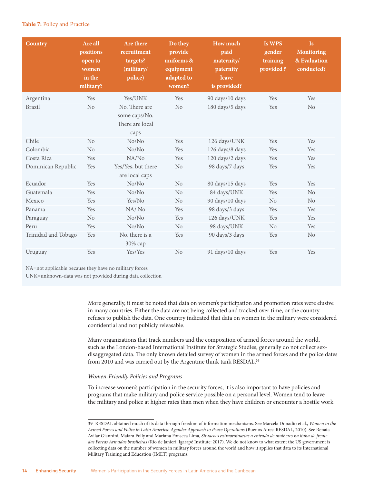#### **Table 7:** Policy and Practice

| <b>Country</b>      | Are all<br>positions<br>open to<br>women<br>in the<br>military? | Are there<br>recruitment<br>targets?<br>(military/<br>police) | Do they<br>provide<br>uniforms &<br>equipment<br>adapted to<br>women? | <b>How much</b><br>paid<br>maternity/<br>paternity<br>leave<br>is provided? | Is WPS<br>gender<br>training<br>provided? | <b>Is</b><br><b>Monitoring</b><br>& Evaluation<br>conducted? |
|---------------------|-----------------------------------------------------------------|---------------------------------------------------------------|-----------------------------------------------------------------------|-----------------------------------------------------------------------------|-------------------------------------------|--------------------------------------------------------------|
| Argentina           | Yes                                                             | Yes/UNK                                                       | Yes                                                                   | 90 days/10 days                                                             | Yes                                       | Yes                                                          |
| <b>Brazil</b>       | No                                                              | No. There are<br>some caps/No.<br>There are local<br>caps     | No                                                                    | 180 days/5 days                                                             | Yes                                       | No                                                           |
| Chile               | No                                                              | No/No                                                         | Yes                                                                   | 126 days/UNK                                                                | Yes                                       | Yes                                                          |
| Colombia            | No                                                              | No/No                                                         | Yes                                                                   | 126 days/8 days                                                             | Yes                                       | Yes                                                          |
| Costa Rica          | Yes                                                             | NA/No                                                         | Yes                                                                   | 120 days/2 days                                                             | Yes                                       | Yes                                                          |
| Dominican Republic  | Yes                                                             | Yes/Yes, but there<br>are local caps                          | N <sub>o</sub>                                                        | 98 days/7 days                                                              | Yes                                       | Yes                                                          |
| Ecuador             | Yes                                                             | No/No                                                         | No                                                                    | 80 days/15 days                                                             | Yes                                       | Yes                                                          |
| Guatemala           | Yes                                                             | No/No                                                         | No                                                                    | 84 days/UNK                                                                 | Yes                                       | No                                                           |
| Mexico              | Yes                                                             | Yes/No                                                        | No                                                                    | 90 days/10 days                                                             | N <sub>o</sub>                            | No                                                           |
| Panama              | Yes                                                             | NA/No                                                         | Yes                                                                   | 98 days/3 days                                                              | Yes                                       | Yes                                                          |
| Paraguay            | No                                                              | No/No                                                         | Yes                                                                   | 126 days/UNK                                                                | Yes                                       | Yes                                                          |
| Peru                | Yes                                                             | No/No                                                         | N <sub>o</sub>                                                        | 98 days/UNK                                                                 | No                                        | Yes                                                          |
| Trinidad and Tobago | Yes                                                             | No, there is a<br>30% сар                                     | Yes                                                                   | 90 days/3 days                                                              | Yes                                       | No                                                           |
| Uruguay             | Yes                                                             | Yes/Yes                                                       | No                                                                    | 91 days/10 days                                                             | Yes                                       | Yes                                                          |

NA=not applicable because they have no military forces

UNK=unknown-data was not provided during data collection

More generally, it must be noted that data on women's participation and promotion rates were elusive in many countries. Either the data are not being collected and tracked over time, or the country refuses to publish the data. One country indicated that data on women in the military were considered confidential and not publicly releasable.

Many organizations that track numbers and the composition of armed forces around the world, such as the London-based International Institute for Strategic Studies, generally do not collect sexdisaggregated data. The only known detailed survey of women in the armed forces and the police dates from 2010 and was carried out by the Argentine think tank RESDAL.<sup>39</sup>

#### *Women-Friendly Policies and Programs*

To increase women's participation in the security forces, it is also important to have policies and programs that make military and police service possible on a personal level. Women tend to leave the military and police at higher rates than men when they have children or encounter a hostile work

<sup>39</sup> RESDAL obtained much of its data through freedom of information mechanisms. See Marcela Donadio et al., *Women in the Armed Forces and Police in Latin America: Agender Approach to Peace Operations* (Buenos Aires: RESDAL, 2010). See Renata Avilar Giannini, Maiara Folly and Mariana Fonseca Lima, *Situacoes extraordinarias a entrada de mulheres na linha de frente das Forcas Armadas brasileiras* (Rio de Janieri: Igarapé Institute: 2017). We do not know to what extent the US government is collecting data on the number of women in military forces around the world and how it applies that data to its International Military Training and Education (IMET) programs.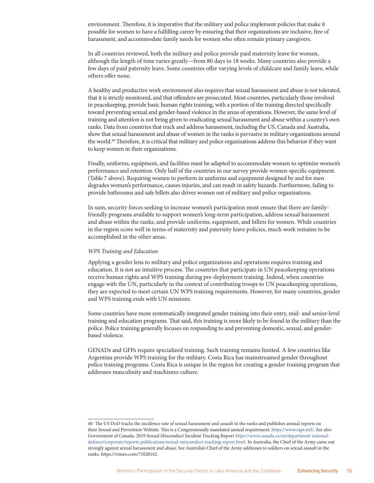environment. Therefore, it is imperative that the military and police implement policies that make it possible for women to have a fulfilling career by ensuring that their organizations are inclusive, free of harassment, and accommodate family needs for women who often remain primary caregivers.

In all countries reviewed, both the military and police provide paid maternity leave for women, although the length of time varies greatly—from 80 days to 18 weeks. Many countries also provide a few days of paid paternity leave. Some countries offer varying levels of childcare and family leave, while others offer none.

A healthy and productive work environment also requires that sexual harassment and abuse is not tolerated, that it is strictly monitored, and that offenders are prosecuted. Most countries, particularly those involved in peacekeeping, provide basic human rights training, with a portion of the training directed specifically toward preventing sexual and gender-based violence in the areas of operations. However, the same level of training and attention is not being given to eradicating sexual harassment and abuse within a country's own ranks. Data from countries that track and address harassment, including the US, Canada and Australia, show that sexual harassment and abuse of women in the ranks is pervasive in military organizations around the world.40 Therefore, it is critical that military and police organizations address this behavior if they want to keep women in their organizations.

Finally, uniforms, equipment, and facilities must be adapted to accommodate women to optimize women's performance and retention. Only half of the countries in our survey provide women-specific equipment. (Table 7 above). Requiring women to perform in uniforms and equipment designed by and for men degrades women's performance, causes injuries, and can result in safety hazards. Furthermore, failing to provide bathrooms and safe billets also drives women out of military and police organizations.

In sum, security forces seeking to increase women's participation must ensure that there are familyfriendly programs available to support women's long-term participation, address sexual harassment and abuse within the ranks, and provide uniforms, equipment, and billets for women. While countries in the region score well in terms of maternity and paternity leave policies, much work remains to be accomplished in the other areas.

#### *WPS Training and Education*

Applying a gender lens to military and police organizations and operations requires training and education. It is not an intuitive process. The countries that participate in UN peacekeeping operations receive human rights and WPS training during pre-deployment training. Indeed, when countries engage with the UN, particularly in the context of contributing troops to UN peacekeeping operations, they are expected to meet certain UN WPS training requirements. However, for many countries, gender and WPS training ends with UN missions.

Some countries have more systematically integrated gender training into their entry, mid- and senior-level training and education programs. That said, this training is more likely to be found in the military than the police. Police training generally focuses on responding to and preventing domestic, sexual, and genderbased violence.

GENADs and GFPs require specialized training. Such training remains limited. A few countries like Argentina provide WPS training for the military. Costa Rica has mainstreamed gender throughout police training programs. Costa Rica is unique in the region for creating a gender training program that addresses masculinity and machismo culture.

<sup>40</sup> The US DoD tracks the incidence rate of sexual harassment and assault in the ranks and publishes annual reports on their Sexual and Prevention Website. This is a Congressionally mandated annual requirement. [https://www.sapr.mil/.](https://www.sapr.mil/) See also Government of Canada, 2019 Sexual Misconduct Incident Tracking Report [https://www.canada.ca/en/department-national](https://www.canada.ca/en/department-national-defence/corporate/reports-publications/sexual-misconduct-tracking-report.html)[defence/corporate/reports-publications/sexual-misconduct-tracking-report.html.](https://www.canada.ca/en/department-national-defence/corporate/reports-publications/sexual-misconduct-tracking-report.html) In Australia, the Chief of the Army came out strongly against sexual harassment and abuse. See Australia's Chief of the Army addresses to soldiers on sexual assault in the ranks. https://vimeo.com/71028162.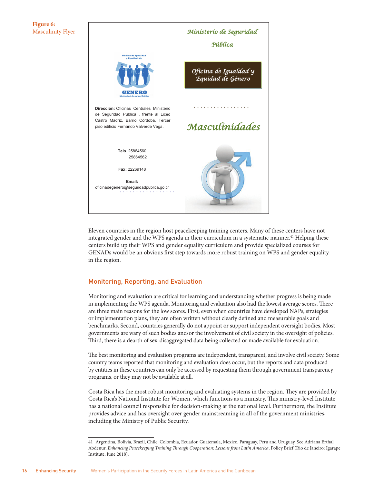#### **Figure 6:**  Masculinity Flyer



Eleven countries in the region host peacekeeping training centers. Many of these centers have not integrated gender and the WPS agenda in their curriculum in a systematic manner.<sup>41</sup> Helping these centers build up their WPS and gender equality curriculum and provide specialized courses for GENADs would be an obvious first step towards more robust training on WPS and gender equality in the region.

## Monitoring, Reporting, and Evaluation

Monitoring and evaluation are critical for learning and understanding whether progress is being made in implementing the WPS agenda. Monitoring and evaluation also had the lowest average scores. There are three main reasons for the low scores. First, even when countries have developed NAPs, strategies or implementation plans, they are often written without clearly defined and measurable goals and benchmarks. Second, countries generally do not appoint or support independent oversight bodies. Most governments are wary of such bodies and/or the involvement of civil society in the oversight of policies. Third, there is a dearth of sex-disaggregated data being collected or made available for evaluation.

The best monitoring and evaluation programs are independent, transparent, and involve civil society. Some country teams reported that monitoring and evaluation does occur, but the reports and data produced by entities in these countries can only be accessed by requesting them through government transparency programs, or they may not be available at all.

Costa Rica has the most robust monitoring and evaluating systems in the region. They are provided by Costa Rica's National Institute for Women, which functions as a ministry. This ministry-level Institute has a national council responsible for decision-making at the national level. Furthermore, the Institute provides advice and has oversight over gender mainstreaming in all of the government ministries, including the Ministry of Public Security.

<sup>41</sup> Argentina, Bolivia, Brazil, Chile, Colombia, Ecuador, Guatemala, Mexico, Paraguay, Peru and Uruguay. See Adriana Erthal Abdenur, *Enhancing Peacekeeping Training Through Cooperation: Lessons from Latin America*, Policy Brief (Rio de Janeiro: Igarape Institute, June 2018).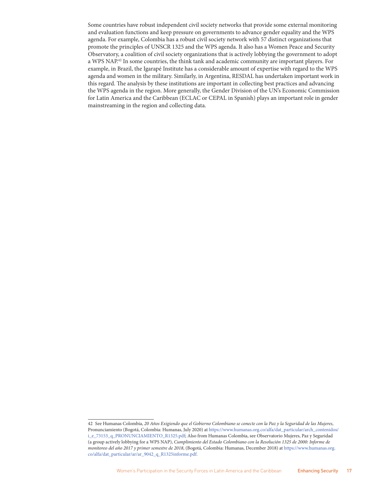Some countries have robust independent civil society networks that provide some external monitoring and evaluation functions and keep pressure on governments to advance gender equality and the WPS agenda. For example, Colombia has a robust civil society network with 57 distinct organizations that promote the principles of UNSCR 1325 and the WPS agenda. It also has a Women Peace and Security Observatory, a coalition of civil society organizations that is actively lobbying the government to adopt a WPS NAP.42 In some countries, the think tank and academic community are important players. For example, in Brazil, the Igarapé Institute has a considerable amount of expertise with regard to the WPS agenda and women in the military. Similarly, in Argentina, RESDAL has undertaken important work in this regard. The analysis by these institutions are important in collecting best practices and advancing the WPS agenda in the region. More generally, the Gender Division of the UN's Economic Commission for Latin America and the Caribbean (ECLAC or CEPAL in Spanish) plays an important role in gender mainstreaming in the region and collecting data.

<sup>42</sup> See Humanas Colombia, *20 Años Exigiendo que el Gobierno Colombiano se conecte con la Paz y la Seguridad de las Mujeres*, Pronunciamiento (Bogotá, Colombia: Humanas, July 2020) at [https://www.humanas.org.co/alfa/dat\\_particular/arch\\_contenidos/](https://www.humanas.org.co/alfa/dat_particular/arch_contenidos/i_e_73153_q_PRONUNCIAMIENTO_R1325.pdf) [i\\_e\\_73153\\_q\\_PRONUNCIAMIENTO\\_R1325.pdf](https://www.humanas.org.co/alfa/dat_particular/arch_contenidos/i_e_73153_q_PRONUNCIAMIENTO_R1325.pdf); Also from Humanas Colombia, see Observatorio Mujeres, Paz y Seguridad (a group actively lobbying for a WPS NAP), *Cumplimiento del Estado Colombiano con la Resolución 1325 de 2000: Informe de monitoreo del año 2017 y primer semestre de 2018*, (Bogotá, Colombia: Humanas, December 2018) at [https://www.humanas.org.](https://www.humanas.org.co/alfa/dat_particular/ar/ar_9042_q_R1325informe.pdf) [co/alfa/dat\\_particular/ar/ar\\_9042\\_q\\_R1325informe.pdf](https://www.humanas.org.co/alfa/dat_particular/ar/ar_9042_q_R1325informe.pdf).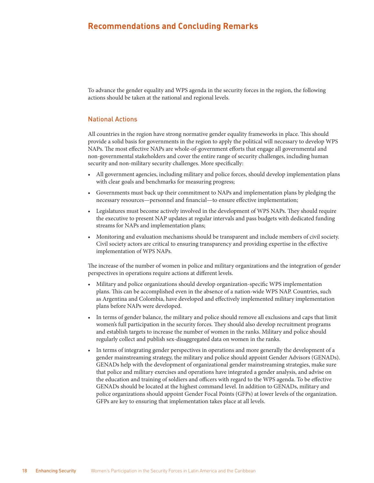# <span id="page-29-0"></span>**Recommendations and Concluding Remarks**

To advance the gender equality and WPS agenda in the security forces in the region, the following actions should be taken at the national and regional levels.

#### National Actions

All countries in the region have strong normative gender equality frameworks in place. This should provide a solid basis for governments in the region to apply the political will necessary to develop WPS NAPs. The most effective NAPs are whole-of-government efforts that engage all governmental and non-governmental stakeholders and cover the entire range of security challenges, including human security and non-military security challenges. More specifically:

- All government agencies, including military and police forces, should develop implementation plans with clear goals and benchmarks for measuring progress;
- Governments must back up their commitment to NAPs and implementation plans by pledging the necessary resources—personnel and financial—to ensure effective implementation;
- Legislatures must become actively involved in the development of WPS NAPs. They should require the executive to present NAP updates at regular intervals and pass budgets with dedicated funding streams for NAPs and implementation plans;
- Monitoring and evaluation mechanisms should be transparent and include members of civil society. Civil society actors are critical to ensuring transparency and providing expertise in the effective implementation of WPS NAPs.

The increase of the number of women in police and military organizations and the integration of gender perspectives in operations require actions at different levels.

- Military and police organizations should develop organization-specific WPS implementation plans. This can be accomplished even in the absence of a nation-wide WPS NAP. Countries, such as Argentina and Colombia, have developed and effectively implemented military implementation plans before NAPs were developed.
- In terms of gender balance, the military and police should remove all exclusions and caps that limit women's full participation in the security forces. They should also develop recruitment programs and establish targets to increase the number of women in the ranks. Military and police should regularly collect and publish sex-disaggregated data on women in the ranks.
- In terms of integrating gender perspectives in operations and more generally the development of a gender mainstreaming strategy, the military and police should appoint Gender Advisors (GENADs). GENADs help with the development of organizational gender mainstreaming strategies, make sure that police and military exercises and operations have integrated a gender analysis, and advise on the education and training of soldiers and officers with regard to the WPS agenda. To be effective GENADs should be located at the highest command level. In addition to GENADs, military and police organizations should appoint Gender Focal Points (GFPs) at lower levels of the organization. GFPs are key to ensuring that implementation takes place at all levels.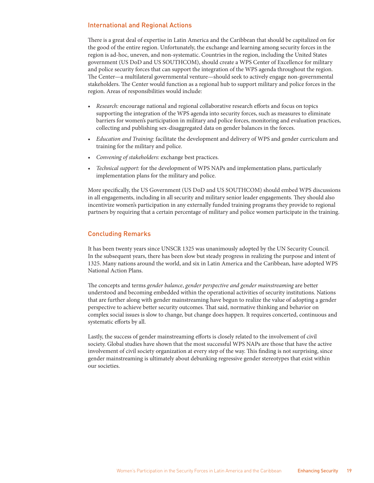#### **International and Regional Actions**

There is a great deal of expertise in Latin America and the Caribbean that should be capitalized on for the good of the entire region. Unfortunately, the exchange and learning among security forces in the region is ad-hoc, uneven, and non-systematic. Countries in the region, including the United States government (US DoD and US SOUTHCOM), should create a WPS Center of Excellence for military and police security forces that can support the integration of the WPS agenda throughout the region. The Center—a multilateral governmental venture—should seek to actively engage non-governmental stakeholders. The Center would function as a regional hub to support military and police forces in the region. Areas of responsibilities would include:

- *Research:* encourage national and regional collaborative research efforts and focus on topics supporting the integration of the WPS agenda into security forces, such as measures to eliminate barriers for women's participation in military and police forces, monitoring and evaluation practices, collecting and publishing sex-disaggregated data on gender balances in the forces.
- *Education and Training:* facilitate the development and delivery of WPS and gender curriculum and training for the military and police.
- *Convening of stakeholders:* exchange best practices.
- *Technical support:* for the development of WPS NAPs and implementation plans, particularly implementation plans for the military and police.

More specifically, the US Government (US DoD and US SOUTHCOM) should embed WPS discussions in all engagements, including in all security and military senior leader engagements. They should also incentivize women's participation in any externally funded training programs they provide to regional partners by requiring that a certain percentage of military and police women participate in the training.

#### Concluding Remarks

It has been twenty years since UNSCR 1325 was unanimously adopted by the UN Security Council. In the subsequent years, there has been slow but steady progress in realizing the purpose and intent of 1325. Many nations around the world, and six in Latin America and the Caribbean, have adopted WPS National Action Plans.

The concepts and terms *gender balance*, *gender perspective and gender mainstreaming* are better understood and becoming embedded within the operational activities of security institutions. Nations that are further along with gender mainstreaming have begun to realize the value of adopting a gender perspective to achieve better security outcomes. That said, normative thinking and behavior on complex social issues is slow to change, but change does happen. It requires concerted, continuous and systematic efforts by all.

Lastly, the success of gender mainstreaming efforts is closely related to the involvement of civil society. Global studies have shown that the most successful WPS NAPs are those that have the active involvement of civil society organization at every step of the way. This finding is not surprising, since gender mainstreaming is ultimately about debunking regressive gender stereotypes that exist within our societies.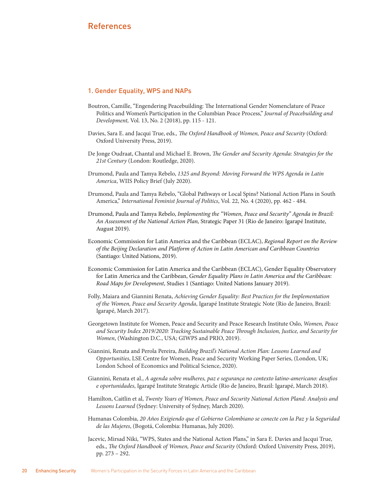# <span id="page-31-0"></span>References

#### 1. Gender Equality, WPS and NAPs

- Boutron, Camille, "Engendering Peacebuilding: The International Gender Nomenclature of Peace Politics and Women's Participation in the Columbian Peace Process," *Journal of Peacebuilding and Development,* Vol. 13, No. 2 (2018), pp. 115 - 121.
- Davies, Sara E. and Jacqui True, eds*., The Oxford Handbook of Women, Peace and Security* (Oxford: Oxford University Press, 2019).
- De Jonge Oudraat, Chantal and Michael E. Brown, *The Gender and Security Agenda: Strategies for the 21st Century* (London: Routledge, 2020).
- Drumond, Paula and Tamya Rebelo, *1325 and Beyond: Moving Forward the WPS Agenda in Latin America*, WIIS Policy Brief (July 2020).
- Drumond, Paula and Tamya Rebelo, "Global Pathways or Local Spins? National Action Plans in South America," *International Feminist Journal of Politics*, Vol. 22, No. 4 (2020), pp. 462 - 484.
- Drumond, Paula and Tamya Rebelo, *Implementing the "Women, Peace and Security" Agenda in Brazil: An Assessment of the National Action Plan,* Strategic Paper 31 (Rio de Janeiro: Igarapé Institute, August 2019).
- Economic Commission for Latin America and the Caribbean (ECLAC), *Regional Report on the Review of the Beijing Declaration and Platform of Action in Latin American and Caribbean Countries* (Santiago: United Nations, 2019).
- Economic Commission for Latin America and the Caribbean (ECLAC), Gender Equality Observatory for Latin America and the Caribbean, *Gender Equality Plans in Latin America and the Caribbean: Road Maps for Development*, Studies 1 (Santiago: United Nations January 2019).
- Folly, Maiara and Giannini Renata, *Achieving Gender Equality: Best Practices for the Implementation of the Women, Peace and Security Agenda*, Igarapé Institute Strategic Note (Rio de Janeiro, Brazil: Igarapé, March 2017).
- Georgetown Institute for Women, Peace and Security and Peace Research Institute Oslo, *Women, Peace and Security Index 2019/2020: Tracking Sustainable Peace Through Inclusion, Justice, and Security for Women*, (Washington D.C., USA; GIWPS and PRIO, 2019).
- Giannini, Renata and Perola Pereira, *Building Brazil's National Action Plan: Lessons Learned and Opportunities*, LSE Centre for Women, Peace and Security Working Paper Series, (London, UK; London School of Economics and Political Science, 2020).
- Giannini, Renata et al., *A agenda sobre mulheres, paz e segurança no contexto latino-americano: desafios e oportunidades*, Igarapé Institute Strategic Article (Rio de Janeiro, Brazil: Igarapé, March 2018).
- Hamilton, Caitlin et al, *Twenty Years of Women, Peace and Security National Action Pland: Analysis and Lessons Learned* (Sydney: University of Sydney, March 2020).
- Humanas Colombia, *20 Años Exigiendo que el Gobierno Colombiano se conecte con la Paz y la Seguridad de las Mujeres*, (Bogotá, Colombia: Humanas, July 2020).
- Jacevic, Mirsad Niki, "WPS, States and the National Action Plans," in Sara E. Davies and Jacqui True, eds., *The Oxford Handbook of Women, Peace and Security* (Oxford: Oxford University Press, 2019), pp. 273 – 292.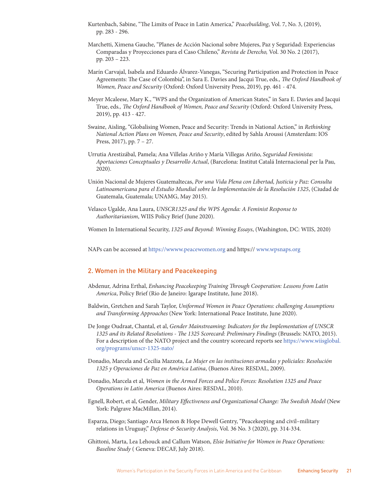- Kurtenbach, Sabine, "The Limits of Peace in Latin America," *Peacebuilding*, Vol. 7, No. 3, (2019), pp. 283 - 296.
- Marchetti, Ximena Gauche, "Planes de Acción Nacional sobre Mujeres, Paz y Seguridad: Experiencias Comparadas y Proyecciones para el Caso Chileno," *Revista de Derecho,* Vol. 30 No. 2 (2017), pp. 203 – 223.
- Marín Carvajal, Isabela and Eduardo Álvarez-Vanegas, "Securing Participation and Protection in Peace Agreements: The Case of Colombia", in Sara E. Davies and Jacqui True, eds*., The Oxford Handbook of Women, Peace and Security* (Oxford: Oxford University Press, 2019), pp. 461 - 474.
- Meyer Mcaleese, Mary K., "WPS and the Organization of American States," in Sara E. Davies and Jacqui True, eds*., The Oxford Handbook of Women, Peace and Security* (Oxford: Oxford University Press, 2019), pp. 413 - 427.
- Swaine, Aisling, "Globalising Women, Peace and Security: Trends in National Action," in *Rethinking National Action Plans on Women, Peace and Security*, edited by Sahla Aroussi (Amsterdam: IOS Press, 2017), pp. 7 – 27.
- Urrutia Arestizábal, Pamela; Ana Villelas Ariño y María Villegas Ariño, *Seguridad Feminista: Aportaciones Conceptuales y Desarrollo Actual*, (Barcelona: Institut Catalá Internacional per la Pau, 2020).
- Unión Nacional de Mujeres Guatemaltecas, *Por una Vida Plena con Libertad, Justicia y Paz: Consulta Latinoamericana para el Estudio Mundial sobre la Implementación de la Resolución 1325*, (Ciudad de Guatemala, Guatemala; UNAMG, May 2015).
- Velasco Ugalde, Ana Laura, *UNSCR1325 and the WPS Agenda: A Feminist Response to Authoritarianism*, WIIS Policy Brief (June 2020).

Women In International Security, *1325 and Beyond: Winning Essays*, (Washington, DC: WIIS, 2020)

NAPs can be accessed at<https://wwww.peacewomen.org> and https:// [www.wpsnaps.org](http://www.wpsnaps.org)

#### 2. Women in the Military and Peacekeeping

- Abdenur, Adrina Erthal, *Enhancing Peacekeeping Training Through Cooperation: Lessons from Latin America*, Policy Brief (Rio de Janeiro: Igarape Institute, June 2018).
- Baldwin, Gretchen and Sarah Taylor, *Uniformed Women in Peace Operations: challenging Assumptions and Transforming Approaches* (New York: International Peace Institute, June 2020).
- De Jonge Oudraat, Chantal, et al, *Gender Mainstreaming: Indicators for the Implementation of UNSCR 1325 and its Related Resolutions - The 1325 Scorecard: Preliminary Findings* (Brussels: NATO, 2015). For a description of the NATO project and the country scorecard reports see [https://www.wiisglobal.](https://www.wiisglobal.org/programs/unscr-1325-nato/) [org/programs/unscr-1325-nato/](https://www.wiisglobal.org/programs/unscr-1325-nato/)
- Donadio, Marcela and Cecilia Mazzota, *La Mujer en las instituciones armadas y policiales: Resolución 1325 y Operaciones de Paz en América Latina*, (Buenos Aires: RESDAL, 2009).
- Donadio, Marcela et al, *Women in the Armed Forces and Police Forces: Resolution 1325 and Peace Operations in Latin America* (Buenos Aires: RESDAL, 2010).
- Egnell, Robert, et al, Gender, *Military Effectiveness and Organizational Change: The Swedish Model* (New York: Palgrave MacMillan, 2014).
- Esparza, Diego; Santiago Arca Henon & Hope Dewell Gentry, "Peacekeeping and civil–military relations in Uruguay," *Defense & Security Analysis*, Vol. 36 No. 3 (2020), pp. 314-334.
- Ghittoni, Marta, Lea Lehouck and Callum Watson, *Elsie Initiative for Women in Peace Operations: Baseline Study* ( Geneva: DECAF, July 2018).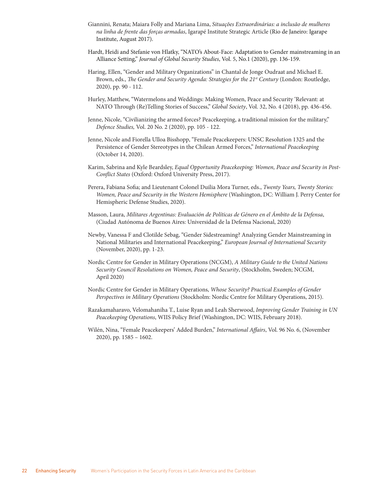- Giannini, Renata; Maiara Folly and Mariana Lima, *Situações Extraordinárias: a inclusão de mulheres na linha de frente das forças armadas*, Igarapé Institute Strategic Article (Rio de Janeiro: Igarape Institute, August 2017).
- Hardt, Heidi and Stefanie von Hlatky, "NATO's About-Face: Adaptation to Gender mainstreaming in an Alliance Setting," *Journal of Global Security Studies*, Vol. 5, No.1 (2020), pp. 136-159.
- Haring, Ellen, "Gender and Military Organizations" in Chantal de Jonge Oudraat and Michael E. Brown, eds., *The Gender and Security Agenda: Strategies for the 21st Century* (London: Routledge, 2020), pp. 90 - 112.
- Hurley, Matthew, "Watermelons and Weddings: Making Women, Peace and Security 'Relevant: at NATO Through (Re)Telling Stories of Success," *Global Society*, Vol. 32, No. 4 (2018), pp. 436-456.
- Jenne, Nicole, "Civilianizing the armed forces? Peacekeeping, a traditional mission for the military," *Defence Studies,* Vol. 20 No. 2 (2020), pp. 105 - 122.
- Jenne, Nicole and Fiorella Ulloa Bisshopp, "Female Peacekeepers: UNSC Resolution 1325 and the Persistence of Gender Stereotypes in the Chilean Armed Forces," *International Peacekeeping* (October 14, 2020).
- Karim, Sabrina and Kyle Beardsley, *Equal Opportunity Peacekeeping: Women, Peace and Security in Post-Conflict States* (Oxford: Oxford University Press, 2017).
- Perera, Fabiana Sofia; and Lieutenant Colonel Duilia Mora Turner, eds., *Twenty Years, Twenty Stories: Women, Peace and Security in the Western Hemisphere* (Washington, DC: William J. Perry Center for Hemispheric Defense Studies, 2020).
- Masson, Laura, *Militares Argentinas: Evaluación de Políticas de Género en el Ámbito de la Defensa*, (Ciudad Autónoma de Buenos Aires: Universidad de la Defensa Nacional, 2020)
- Newby, Vanessa F and Clotilde Sebag, "Gender Sidestreaming? Analyzing Gender Mainstreaming in National Militaries and International Peacekeeping," *European Journal of International Security*  (November, 2020), pp. 1-23.
- Nordic Centre for Gender in Military Operations (NCGM), *A Military Guide to the United Nations Security Council Resolutions on Women, Peace and Security*, (Stockholm, Sweden; NCGM, April 2020)
- Nordic Centre for Gender in Military Operations, *Whose Security? Practical Examples of Gender Perspectives in Military Operations* (Stockholm: Nordic Centre for Military Operations, 2015).
- Razakamaharavo, Velomahaniha T., Luise Ryan and Leah Sherwood, *Improving Gender Training in UN Peacekeeping Operations*, WIIS Policy Brief (Washington, DC: WIIS, February 2018).
- Wilén, Nina, "Female Peacekeepers' Added Burden," *International Affairs*, Vol. 96 No. 6, (November 2020), pp. 1585 – 1602.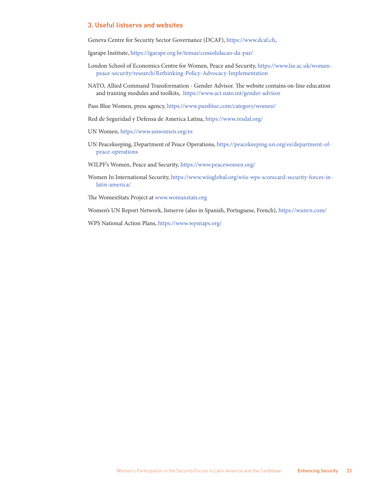#### 3. Useful listservs and websites

Geneva Centre for Security Sector Governance (DCAF), [https://www.dcaf.ch,](https://www.dcaf.ch)

Igarape Institute, <https://igarape.org.br/temas/consolidacao-da-paz/>

- London School of Economics Centre for Women, Peace and Security, [https://www.lse.ac.uk/women](https://www.lse.ac.uk/women-peace-security/research/Rethinking-Policy-Advocacy-Implementation)[peace-security/research/Rethinking-Policy-Advocacy-Implementation](https://www.lse.ac.uk/women-peace-security/research/Rethinking-Policy-Advocacy-Implementation)
- NATO, Allied Command Transformation Gender Advisor. The website contains on-line education and training modules and toolkits, <https://www.act.nato.int/gender-advisor>

Pass Blue Women, press agency,<https://www.passblue.com/category/women/>

Red de Seguridad y Defensa de America Latina,<https://www.resdal.org/>

- UN Women,<https://www.unwomen.org/es>
- UN Peacekeeping, Department of Peace Operations, [https://peacekeeping.un.org/es/department-of](https://peacekeeping.un.org/es/department-of-peace-operations)[peace-operations](https://peacekeeping.un.org/es/department-of-peace-operations)
- WILPF's Women, Peace and Security,<https://www.peacewomen.org/>
- Women In International Security, [https://www.wiisglobal.org/wiis-wps-scorecard-security-forces-in](https://www.wiisglobal.org/wiis-wps-scorecard-security-forces-in-latin-america/)[latin-america/](https://www.wiisglobal.org/wiis-wps-scorecard-security-forces-in-latin-america/)

The WomenStats Project at [www.womanstats.org](http://www.womanstats.org)

Women's UN Report Network, listserve (also in Spanish, Portuguese, French),<https://wunrn.com/>

WPS National Action Plans, <https://www.wpsnaps.org/>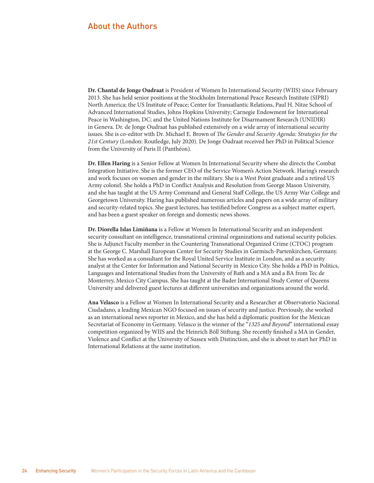# <span id="page-35-0"></span>About the Authors

**Dr. Chantal de Jonge Oudraat** is President of Women In International Security (WIIS) since February 2013. She has held senior positions at the Stockholm International Peace Research Institute (SIPRI) North America; the US Institute of Peace; Center for Transatlantic Relations, Paul H. Nitze School of Advanced International Studies, Johns Hopkins University; Carnegie Endowment for International Peace in Washington, DC; and the United Nations Institute for Disarmament Research (UNIDIR) in Geneva. Dr. de Jonge Oudraat has published extensively on a wide array of international security issues. She is co-editor with Dr. Michael E. Brown of *The Gender and Security Agenda: Strategies for the 21st Century* (London: Routledge, July 2020). De Jonge Oudraat received her PhD in Political Science from the University of Paris II (Panthéon).

**Dr. Ellen Haring** is a Senior Fellow at Women In International Security where she directs the Combat Integration Initiative. She is the former CEO of the Service Women's Action Network. Haring's research and work focuses on women and gender in the military. She is a West Point graduate and a retired US Army colonel. She holds a PhD in Conflict Analysis and Resolution from George Mason University, and she has taught at the US Army Command and General Staff College, the US Army War College and Georgetown University. Haring has published numerous articles and papers on a wide array of military and security-related topics. She guest lectures, has testified before Congress as a subject matter expert, and has been a guest speaker on foreign and domestic news shows.

**Dr. Diorella Islas Limiñana** is a Fellow at Women In International Security and an independent security consultant on intelligence, transnational criminal organizations and national security policies. She is Adjunct Faculty member in the Countering Transnational Organized Crime (CTOC) program at the George C. Marshall European Center for Security Studies in Garmisch-Partenkirchen, Germany. She has worked as a consultant for the Royal United Service Institute in London, and as a security analyst at the Center for Information and National Security in Mexico City. She holds a PhD in Politics, Languages and International Studies from the University of Bath and a MA and a BA from Tec de Monterrey, Mexico City Campus. She has taught at the Bader International Study Center of Queens University and delivered guest lectures at different universities and organizations around the world.

**Ana Velasco** is a Fellow at Women In International Security and a Researcher at Observatorio Nacional Ciudadano, a leading Mexican NGO focused on issues of security and justice. Previously, she worked as an international news reporter in Mexico, and she has held a diplomatic position for the Mexican Secretariat of Economy in Germany. Velasco is the winner of the "*1325 and Beyond*" international essay competition organized by WIIS and the Heinrich Böll Stiftung. She recently finished a MA in Gender, Violence and Conflict at the University of Sussex with Distinction, and she is about to start her PhD in International Relations at the same institution.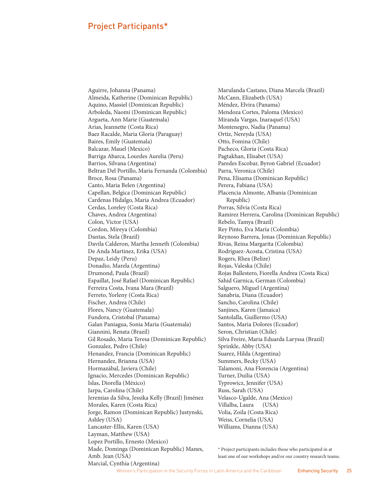# <span id="page-36-0"></span>Project Participants\*

Aguirre, Johanna (Panama) Almeida, Katherine (Dominican Republic) Aquino, Massiel (Dominican Republic) Arboleda, Naomi (Dominican Republic) Argueta, Ann Marie (Guatemala) Arias, Jeannette (Costa Rica) Baez Racalde, Maria Gloria (Paraguay) Baires, Emily (Guatemala) Balcazar, Mauel (Mexico) Barriga Abarca, Lourdes Aurelia (Peru) Barrios, Silvana (Argentina) Beltran Del Portillo, Maria Fernanda (Colombia) Broce, Rosa (Panama) Canto, Maria Belen (Argentina) Capellan, Belgica (Dominican Republic) Cardenas Hidalgo, Maria Andrea (Ecuador) Cerdas, Loreley (Costa Rica) Chaves, Andrea (Argentina) Colon, Victor (USA) Cordon, Mireya (Colombia) Dantas, Stela (Brazil) Davila Calderon, Martha Jenneth (Colombia) De Anda Martinez, Erika (USA) Depaz, Leidy (Peru) Donadio, Marela (Argentina) Drumond, Paula (Brazil) Espaillat, José Rafael (Dominican Republic) Ferreira Costa, Ivana Mara (Brazil) Ferreto, Yorleny (Costa Rica) Fischer, Andrea (Chile) Flores, Nancy (Guatemala) Fundora, Cristobal (Panama) Galan Paniagua, Sonia Maria (Guatemala) Giannini, Renata (Brazil) Gil Rosado, Maria Teresa (Dominican Republic) Gonzalez, Pedro (Chile) Henandez, Francia (Dominican Republic) Hernandez, Brianna (USA) Hormazábal, Javiera (Chile) Ignacio, Mercedes (Dominican Republic) Islas, Diorella (México) Jarpa, Carolina (Chile) Jeremias da Silva, Jessika Kelly (Brazil) Jiménez Morales, Karen (Costa Rica) Jorge, Ramon (Dominican Republic) Justynski, Ashley (USA) Lancaster-Ellis, Karen (USA) Layman, Matthew (USA) Lopez Portillo, Ernesto (Mexico) Made, Dominga (Dominican Republic) Manes, Amb. Jean (USA) Marcial, Cynthia (Argentina)

Marulanda Castano, Diana Marcela (Brazil) McCann, Elizabeth (USA) Méndez, Elvira (Panama) Mendoza Cortes, Paloma (Mexico) Miranda Vargas, Inaraquel (USA) Montenegro, Nadia (Panama) Ortiz, Nereyda (USA) Otto, Fomina (Chile) Pacheco, Gloria (Costa Rica) Pagtakhan, Elisabet (USA) Paredes Escobar, Byron Gabriel (Ecuador) Parra, Veronica (Chile) Pena, Elisama (Dominican Republic) Perera, Fabiana (USA) Placencia Almonte, Albania (Dominican Republic) Porras, Silvia (Costa Rica) Ramirez Herrera, Carolina (Dominican Republic) Rebelo, Tamya (Brazil) Rey Pinto, Eva María (Colombia) Reynoso Barrera, Jonas (Dominican Republic) Rivas, Reina Margarita (Colombia) Rodriguez-Acosta, Cristina (USA) Rogers, Rhea (Belize) Rojas, Valeska (Chile) Rojas Ballestero, Fiorella Andrea (Costa Rica) Sahid Garnica, German (Colombia) Salguero, Miguel (Argentina) Sanabria, Diana (Ecuador) Sancho, Carolina (Chile) Sanjines, Karen (Jamaica) Santolalla, Guillermo (USA) Santos, Maria Dolores (Ecuador) Seron, Christian (Chile) Silva Freire, Maria Eduarda Laryssa (Brazil) Sprinkle, Abby (USA) Suarez, Hilda (Argentina) Summers, Becky (USA) Talamoni, Ana Florencia (Argentina) Turner, Duilia (USA) Typrowicz, Jennifer (USA) Russ, Sarah (USA) Velasco-Ugalde, Ana (Mexico) Villalba, Laura (USA) Volia, Zoila (Costa Rica) Weiss, Cornelia (USA) Williams, Dianna (USA)

\* Project participants includes those who participated in at least one of our workshops and/or our country research teams.